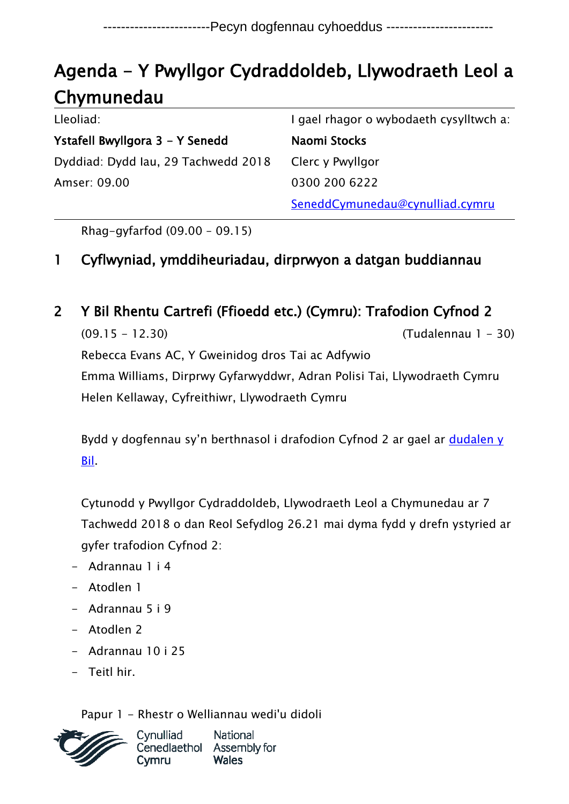## Agenda - Y Pwyllgor Cydraddoldeb, Llywodraeth Leol a Chymunedau

| Lleoliad:                           | I gael rhagor o wybodaeth cysylltwch a:<br>Naomi Stocks |  |
|-------------------------------------|---------------------------------------------------------|--|
| Ystafell Bwyllgora 3 - Y Senedd     |                                                         |  |
| Dyddiad: Dydd Iau, 29 Tachwedd 2018 | Clerc y Pwyllgor                                        |  |
| Amser: 09.00                        | 0300 200 6222                                           |  |
|                                     | SeneddCymunedau@cynulliad.cymru                         |  |

Rhag-gyfarfod (09.00 – 09.15)

## 1 Cyflwyniad, ymddiheuriadau, dirprwyon a datgan buddiannau

## 2 Y Bil Rhentu Cartrefi (Ffioedd etc.) (Cymru): Trafodion Cyfnod 2

(09.15 - 12.30) (Tudalennau 1 - 30) Rebecca Evans AC, Y Gweinidog dros Tai ac Adfywio Emma Williams, Dirprwy Gyfarwyddwr, Adran Polisi Tai, Llywodraeth Cymru Helen Kellaway, Cyfreithiwr, Llywodraeth Cymru

Bydd y dogfennau sy'n berthnasol i drafodion Cyfnod 2 ar gael ar dudalen y [Bil.](http://www.senedd.cynulliad.cymru/mgIssueHistoryHome.aspx?IId=22120)

Cytunodd y Pwyllgor Cydraddoldeb, Llywodraeth Leol a Chymunedau ar 7 Tachwedd 2018 o dan Reol Sefydlog 26.21 mai dyma fydd y drefn ystyried ar gyfer trafodion Cyfnod 2:

- Adrannau 1 i 4
- Atodlen 1
- Adrannau 5 i 9
- Atodlen 2
- Adrannau 10 i 25
- Teitl hir.

Papur 1 - Rhestr o Welliannau wedi'u didoli



National Cenedlaethol Assembly for **Wales**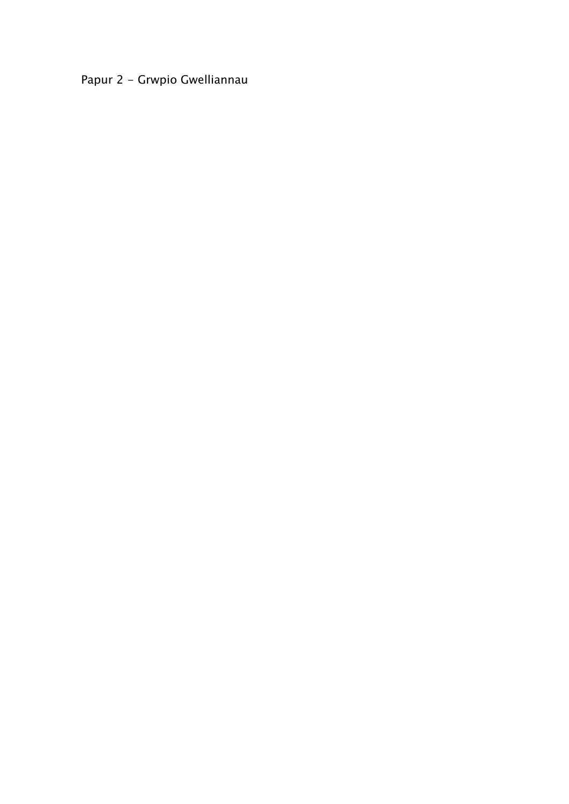## Papur 2 - Grwpio Gwelliannau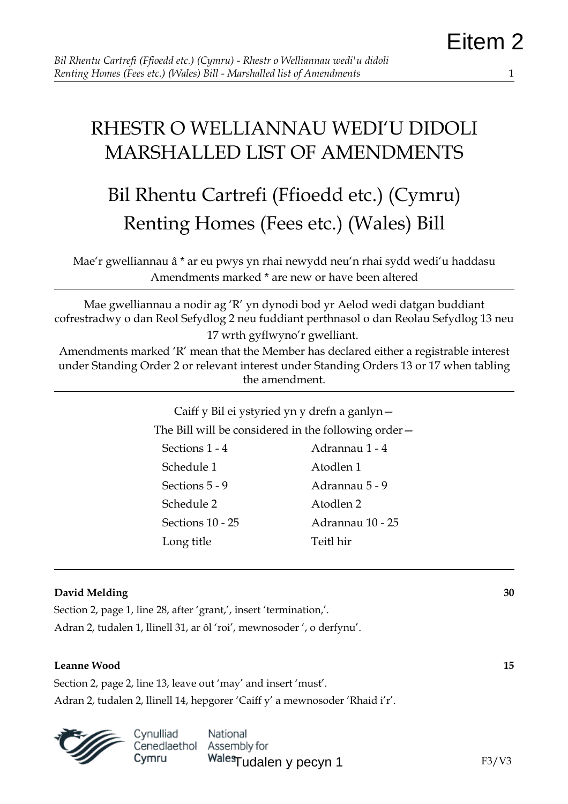## RHESTR O WELLIANNAU WEDI'U DIDOLI MARSHALLED LIST OF AMENDMENTS

# Bil Rhentu Cartrefi (Ffioedd etc.) (Cymru) Renting Homes (Fees etc.) (Wales) Bill

Mae'r gwelliannau â \* ar eu pwys yn rhai newydd neu'n rhai sydd wedi'u haddasu Amendments marked \* are new or have been altered

Mae gwelliannau a nodir ag 'R' yn dynodi bod yr Aelod wedi datgan buddiant cofrestradwy o dan Reol Sefydlog 2 neu fuddiant perthnasol o dan Reolau Sefydlog 13 neu 17 wrth gyflwyno'r gwelliant.

Amendments marked 'R' mean that the Member has declared either a registrable interest under Standing Order 2 or relevant interest under Standing Orders 13 or 17 when tabling the amendment.

> Caiff y Bil ei ystyried yn y drefn a ganlyn— The Bill will be considered in the following order—

Sections 1 - 4 Adrannau 1 - 4 Schedule 1 Atodlen 1 Sections 5 - 9 Adrannau 5 - 9 Schedule 2 Atodlen 2 Sections 10 - 25 Adrannau 10 - 25 Long title Teitl hir

### **David Melding 30**

Section 2, page 1, line 28, after 'grant,', insert 'termination,'. Adran 2, tudalen 1, llinell 31, ar ôl 'roi', mewnosoder ', o derfynu'.

#### **Leanne Wood 15**

Section 2, page 2, line 13, leave out 'may' and insert 'must'. Adran 2, tudalen 2, llinell 14, hepgorer 'Caiff y' a mewnosoder 'Rhaid i'r'.

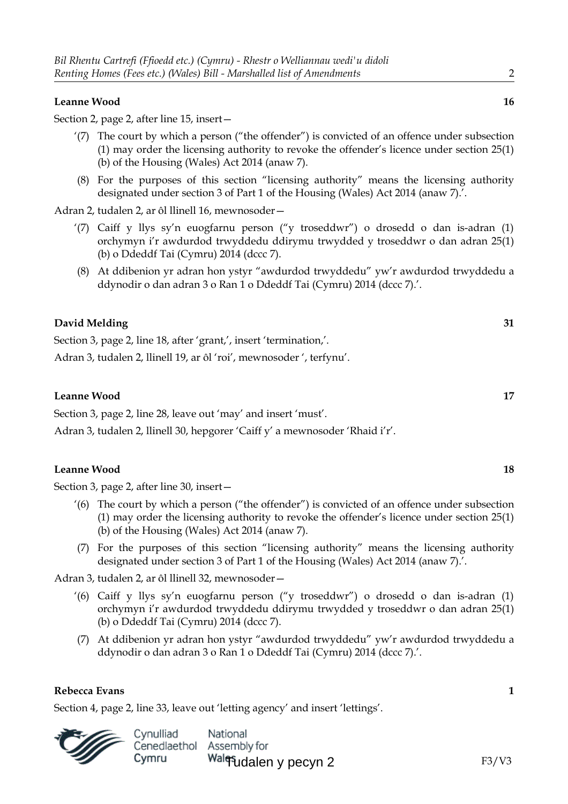#### **Leanne Wood 16**

Section 2, page 2, after line 15, insert—

- '(7) The court by which a person ("the offender") is convicted of an offence under subsection (1) may order the licensing authority to revoke the offender's licence under section 25(1) (b) of the Housing (Wales) Act 2014 (anaw 7).
- (8) For the purposes of this section "licensing authority" means the licensing authority designated under section 3 of Part 1 of the Housing (Wales) Act 2014 (anaw 7).'.

Adran 2, tudalen 2, ar ôl llinell 16, mewnosoder—

- '(7) Caiff y llys sy'n euogfarnu person ("y troseddwr") o drosedd o dan is-adran (1) orchymyn i'r awdurdod trwyddedu ddirymu trwydded y troseddwr o dan adran 25(1) (b) o Ddeddf Tai (Cymru) 2014 (dccc 7).
- (8) At ddibenion yr adran hon ystyr "awdurdod trwyddedu" yw'r awdurdod trwyddedu a ddynodir o dan adran 3 o Ran 1 o Ddeddf Tai (Cymru) 2014 (dccc 7).'.

#### **David Melding 31**

Section 3, page 2, line 18, after 'grant', insert 'termination.'.

Adran 3, tudalen 2, llinell 19, ar ôl 'roi', mewnosoder ', terfynu'.

#### **Leanne Wood 17**

Section 3, page 2, line 28, leave out 'may' and insert 'must'.

Adran 3, tudalen 2, llinell 30, hepgorer 'Caiff y' a mewnosoder 'Rhaid i'r'.

#### **Leanne Wood 18**

Section 3, page 2, after line 30, insert—

- '(6) The court by which a person ("the offender") is convicted of an offence under subsection (1) may order the licensing authority to revoke the offender's licence under section 25(1) (b) of the Housing (Wales) Act 2014 (anaw 7).
- (7) For the purposes of this section "licensing authority" means the licensing authority designated under section 3 of Part 1 of the Housing (Wales) Act 2014 (anaw 7).'.

Adran 3, tudalen 2, ar ôl llinell 32, mewnosoder—

- '(6) Caiff y llys sy'n euogfarnu person ("y troseddwr") o drosedd o dan is-adran (1) orchymyn i'r awdurdod trwyddedu ddirymu trwydded y troseddwr o dan adran 25(1) (b) o Ddeddf Tai (Cymru) 2014 (dccc 7).
- (7) At ddibenion yr adran hon ystyr "awdurdod trwyddedu" yw'r awdurdod trwyddedu a ddynodir o dan adran 3 o Ran 1 o Ddeddf Tai (Cymru) 2014 (dccc 7).'.

#### **Rebecca Evans 1**

Section 4, page 2, line 33, leave out 'letting agency' and insert 'lettings'.

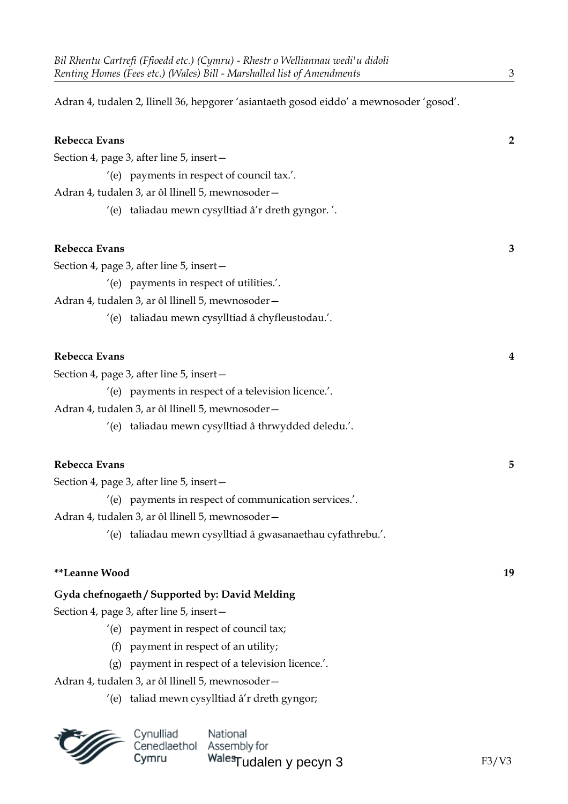Adran 4, tudalen 2, llinell 36, hepgorer 'asiantaeth gosod eiddo' a mewnosoder 'gosod'.

| Rebecca Evans |                                                            | $\overline{2}$ |
|---------------|------------------------------------------------------------|----------------|
|               | Section 4, page 3, after line 5, insert-                   |                |
|               | '(e) payments in respect of council tax.'.                 |                |
|               | Adran 4, tudalen 3, ar ôl llinell 5, mewnosoder-           |                |
|               | '(e) taliadau mewn cysylltiad â'r dreth gyngor.'.          |                |
| Rebecca Evans |                                                            | 3              |
|               | Section 4, page 3, after line 5, insert-                   |                |
|               | '(e) payments in respect of utilities.'.                   |                |
|               | Adran 4, tudalen 3, ar ôl llinell 5, mewnosoder-           |                |
|               | '(e) taliadau mewn cysylltiad â chyfleustodau.'.           |                |
| Rebecca Evans |                                                            | 4              |
|               | Section 4, page 3, after line 5, insert-                   |                |
|               | '(e) payments in respect of a television licence.'.        |                |
|               | Adran 4, tudalen 3, ar ôl llinell 5, mewnosoder-           |                |
|               | '(e) taliadau mewn cysylltiad â thrwydded deledu.'.        |                |
| Rebecca Evans |                                                            | 5              |
|               | Section 4, page 3, after line 5, insert-                   |                |
|               | '(e) payments in respect of communication services.'.      |                |
|               | Adran 4, tudalen 3, ar ôl llinell 5, mewnosoder-           |                |
|               | '(e) taliadau mewn cysylltiad â gwasanaethau cyfathrebu.'. |                |
| **Leanne Wood |                                                            | 19             |
|               | Gyda chefnogaeth / Supported by: David Melding             |                |
|               | Section 4, page 3, after line 5, insert-                   |                |
|               | '(e) payment in respect of council tax;                    |                |
| (f)           | payment in respect of an utility;                          |                |
| (g)           | payment in respect of a television licence.'.              |                |
|               | Adran 4, tudalen 3, ar ôl llinell 5, mewnosoder-           |                |
|               | '(e) taliad mewn cysylltiad â'r dreth gyngor;              |                |

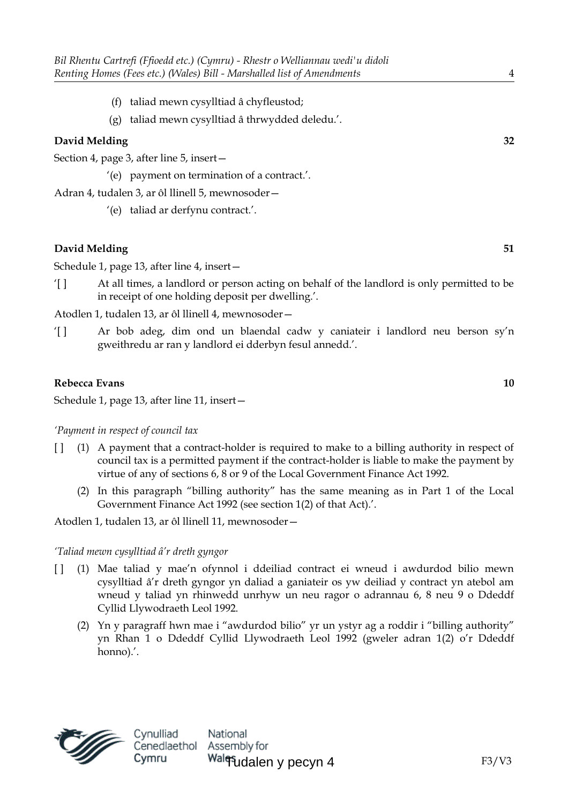- (f) taliad mewn cysylltiad â chyfleustod;
- (g) taliad mewn cysylltiad â thrwydded deledu.'.

Section 4, page 3, after line 5, insert—

'(e) payment on termination of a contract.'.

Adran 4, tudalen 3, ar ôl llinell 5, mewnosoder—

'(e) taliad ar derfynu contract.'.

#### **David Melding 51**

Schedule 1, page 13, after line 4, insert—

'[ ] At all times, a landlord or person acting on behalf of the landlord is only permitted to be in receipt of one holding deposit per dwelling.'.

Atodlen 1, tudalen 13, ar ôl llinell 4, mewnosoder—

'[ ] Ar bob adeg, dim ond un blaendal cadw y caniateir i landlord neu berson sy'n gweithredu ar ran y landlord ei dderbyn fesul annedd.'.

#### **Rebecca Evans 10**

Schedule 1, page 13, after line 11, insert—

*'Payment in respect of council tax*

- [ ] (1) A payment that a contract-holder is required to make to a billing authority in respect of council tax is a permitted payment if the contract-holder is liable to make the payment by virtue of any of sections 6, 8 or 9 of the Local Government Finance Act 1992.
	- (2) In this paragraph "billing authority" has the same meaning as in Part 1 of the Local Government Finance Act 1992 (see section 1(2) of that Act).'.

Atodlen 1, tudalen 13, ar ôl llinell 11, mewnosoder—

#### *'Taliad mewn cysylltiad â'r dreth gyngor*

- [ ] (1) Mae taliad y mae'n ofynnol i ddeiliad contract ei wneud i awdurdod bilio mewn cysylltiad â'r dreth gyngor yn daliad a ganiateir os yw deiliad y contract yn atebol am wneud y taliad yn rhinwedd unrhyw un neu ragor o adrannau 6, 8 neu 9 o Ddeddf Cyllid Llywodraeth Leol 1992.
	- (2) Yn y paragraff hwn mae i "awdurdod bilio" yr un ystyr ag a roddir i "billing authority" yn Rhan 1 o Ddeddf Cyllid Llywodraeth Leol 1992 (gweler adran 1(2) o'r Ddeddf honno).'.



National Walqudalen y pecyn 4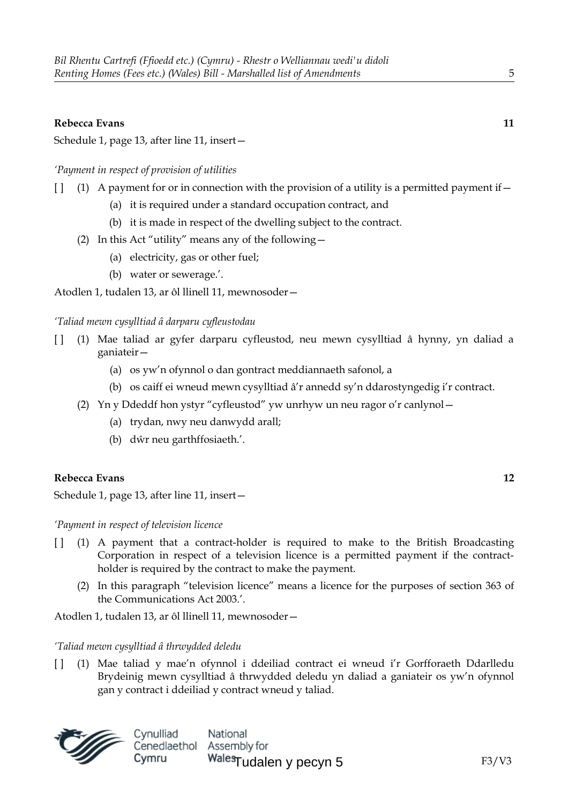#### **Rebecca Evans 11**

Schedule 1, page 13, after line 11, insert—

*'Payment in respect of provision of utilities*

- $\begin{bmatrix} 1 \\ 1 \end{bmatrix}$  (1) A payment for or in connection with the provision of a utility is a permitted payment if—
	- (a) it is required under a standard occupation contract, and
	- (b) it is made in respect of the dwelling subject to the contract.
	- (2) In this Act "utility" means any of the following—
		- (a) electricity, gas or other fuel;
		- (b) water or sewerage.'.

Atodlen 1, tudalen 13, ar ôl llinell 11, mewnosoder—

#### *'Taliad mewn cysylltiad â darparu cyfleustodau*

- [ ] (1) Mae taliad ar gyfer darparu cyfleustod, neu mewn cysylltiad â hynny, yn daliad a ganiateir—
	- (a) os yw'n ofynnol o dan gontract meddiannaeth safonol, a
	- (b) os caiff ei wneud mewn cysylltiad â'r annedd sy'n ddarostyngedig i'r contract.
	- (2) Yn y Ddeddf hon ystyr "cyfleustod" yw unrhyw un neu ragor o'r canlynol—
		- (a) trydan, nwy neu danwydd arall;
		- (b) dŵr neu garthffosiaeth.'.

#### **Rebecca Evans 12**

Schedule 1, page 13, after line 11, insert—

*'Payment in respect of television licence*

- [ ] (1) A payment that a contract-holder is required to make to the British Broadcasting Corporation in respect of a television licence is a permitted payment if the contractholder is required by the contract to make the payment.
	- (2) In this paragraph "television licence" means a licence for the purposes of section 363 of the Communications Act 2003.'.

Atodlen 1, tudalen 13, ar ôl llinell 11, mewnosoder—

#### *'Taliad mewn cysylltiad â thrwydded deledu*

[ ] (1) Mae taliad y mae'n ofynnol i ddeiliad contract ei wneud i'r Gorfforaeth Ddarlledu Brydeinig mewn cysylltiad â thrwydded deledu yn daliad a ganiateir os yw'n ofynnol gan y contract i ddeiliad y contract wneud y taliad.

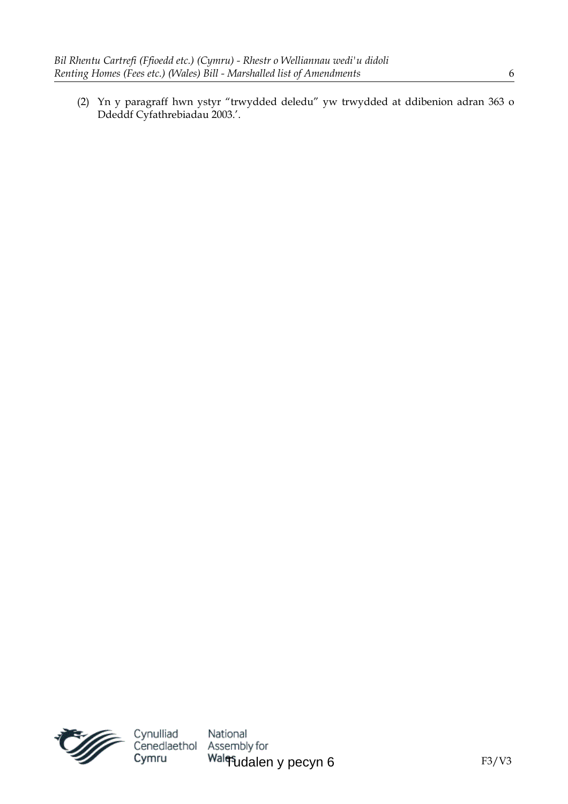(2) Yn y paragraff hwn ystyr "trwydded deledu" yw trwydded at ddibenion adran 363 o Ddeddf Cyfathrebiadau 2003.'.

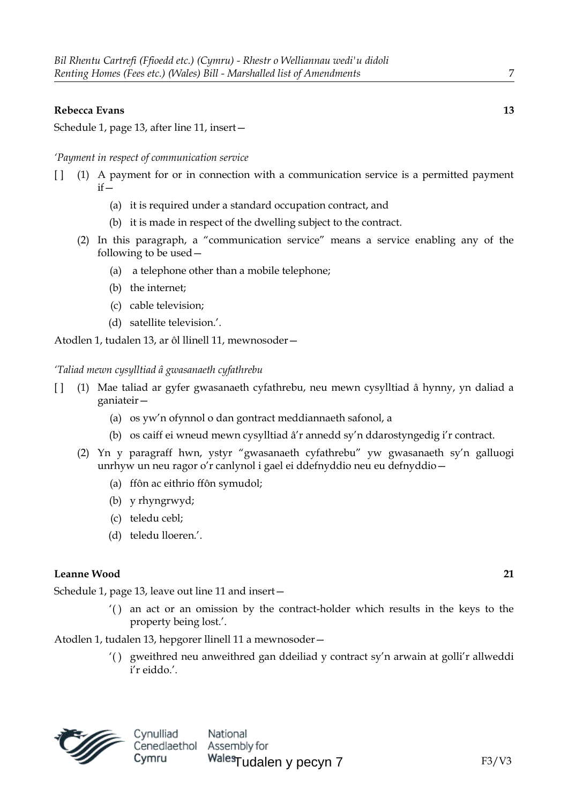#### **Rebecca Evans 13**

Schedule 1, page 13, after line 11, insert—

#### *'Payment in respect of communication service*

- [ ] (1) A payment for or in connection with a communication service is a permitted payment  $if -$ 
	- (a) it is required under a standard occupation contract, and
	- (b) it is made in respect of the dwelling subject to the contract.
	- (2) In this paragraph, a "communication service" means a service enabling any of the following to be used—
		- (a) a telephone other than a mobile telephone;
		- (b) the internet;
		- (c) cable television;
		- (d) satellite television.'.

Atodlen 1, tudalen 13, ar ôl llinell 11, mewnosoder—

#### *'Taliad mewn cysylltiad â gwasanaeth cyfathrebu*

- [ ] (1) Mae taliad ar gyfer gwasanaeth cyfathrebu, neu mewn cysylltiad â hynny, yn daliad a ganiateir—
	- (a) os yw'n ofynnol o dan gontract meddiannaeth safonol, a
	- (b) os caiff ei wneud mewn cysylltiad â'r annedd sy'n ddarostyngedig i'r contract.
	- (2) Yn y paragraff hwn, ystyr "gwasanaeth cyfathrebu" yw gwasanaeth sy'n galluogi unrhyw un neu ragor o'r canlynol i gael ei ddefnyddio neu eu defnyddio—
		- (a) ffôn ac eithrio ffôn symudol;
		- (b) y rhyngrwyd;
		- (c) teledu cebl;
		- (d) teledu lloeren.'.

#### **Leanne Wood 21**

Schedule 1, page 13, leave out line 11 and insert—

'( ) an act or an omission by the contract-holder which results in the keys to the property being lost.'.

Atodlen 1, tudalen 13, hepgorer llinell 11 a mewnosoder—

'( ) gweithred neu anweithred gan ddeiliad y contract sy'n arwain at golli'r allweddi i'r eiddo.'.



National Wales<sub>Tudalen y pecyn 7</sub>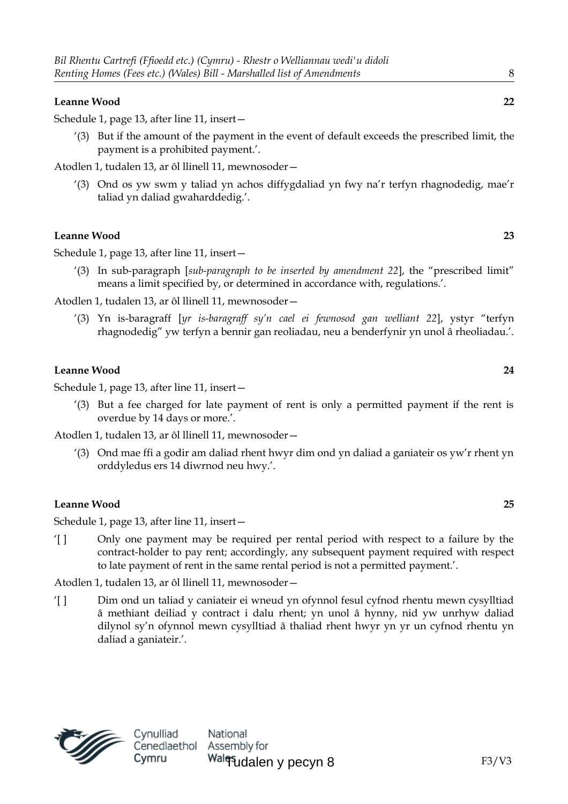#### **Leanne Wood 22**

Schedule 1, page 13, after line 11, insert—

'(3) But if the amount of the payment in the event of default exceeds the prescribed limit, the payment is a prohibited payment.'.

Atodlen 1, tudalen 13, ar ôl llinell 11, mewnosoder—

'(3) Ond os yw swm y taliad yn achos diffygdaliad yn fwy na'r terfyn rhagnodedig, mae'r taliad yn daliad gwaharddedig.'.

#### **Leanne Wood 23**

Schedule 1, page 13, after line 11, insert—

'(3) In sub-paragraph [*sub-paragraph to be inserted by amendment 22*], the "prescribed limit" means a limit specified by, or determined in accordance with, regulations.'.

Atodlen 1, tudalen 13, ar ôl llinell 11, mewnosoder—

'(3) Yn is-baragraff [*yr is-baragraff sy'n cael ei fewnosod gan welliant 22*], ystyr "terfyn rhagnodedig" yw terfyn a bennir gan reoliadau, neu a benderfynir yn unol â rheoliadau.'.

#### **Leanne Wood 24**

Schedule 1, page 13, after line 11, insert—

'(3) But a fee charged for late payment of rent is only a permitted payment if the rent is overdue by 14 days or more.'.

Atodlen 1, tudalen 13, ar ôl llinell 11, mewnosoder—

'(3) Ond mae ffi a godir am daliad rhent hwyr dim ond yn daliad a ganiateir os yw'r rhent yn orddyledus ers 14 diwrnod neu hwy.'.

#### **Leanne Wood 25**

Schedule 1, page 13, after line 11, insert—

'[ ] Only one payment may be required per rental period with respect to a failure by the contract-holder to pay rent; accordingly, any subsequent payment required with respect to late payment of rent in the same rental period is not a permitted payment.'.

Atodlen 1, tudalen 13, ar ôl llinell 11, mewnosoder—

'[ ] Dim ond un taliad y caniateir ei wneud yn ofynnol fesul cyfnod rhentu mewn cysylltiad â methiant deiliad y contract i dalu rhent; yn unol â hynny, nid yw unrhyw daliad dilynol sy'n ofynnol mewn cysylltiad â thaliad rhent hwyr yn yr un cyfnod rhentu yn daliad a ganiateir.'.

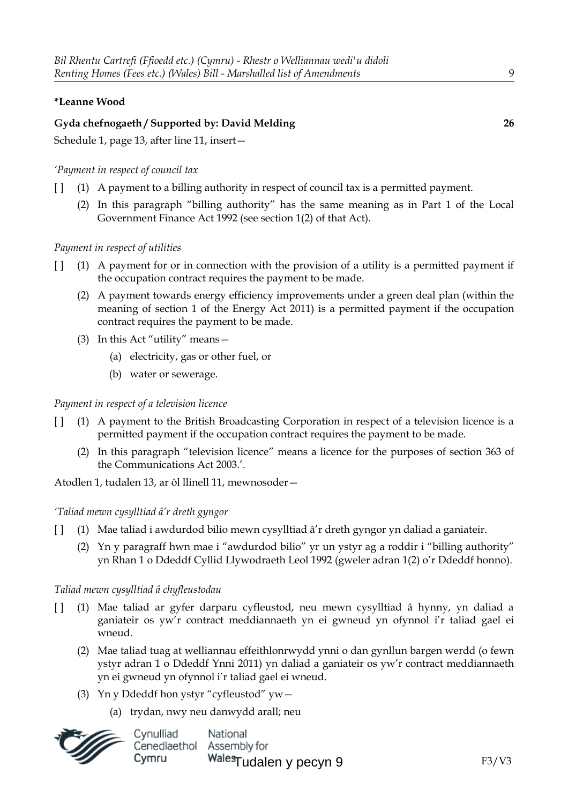#### **\*Leanne Wood**

#### **Gyda chefnogaeth / Supported by: David Melding 26**

Schedule 1, page 13, after line 11, insert—

#### *'Payment in respect of council tax*

- [ ] (1) A payment to a billing authority in respect of council tax is a permitted payment.
	- (2) In this paragraph "billing authority" has the same meaning as in Part 1 of the Local Government Finance Act 1992 (see section 1(2) of that Act).

#### *Payment in respect of utilities*

- [ ] (1) A payment for or in connection with the provision of a utility is a permitted payment if the occupation contract requires the payment to be made.
	- (2) A payment towards energy efficiency improvements under a green deal plan (within the meaning of section 1 of the Energy Act 2011) is a permitted payment if the occupation contract requires the payment to be made.
	- (3) In this Act "utility" means—
		- (a) electricity, gas or other fuel, or
		- (b) water or sewerage.

#### *Payment in respect of a television licence*

- [ ] (1) A payment to the British Broadcasting Corporation in respect of a television licence is a permitted payment if the occupation contract requires the payment to be made.
	- (2) In this paragraph "television licence" means a licence for the purposes of section 363 of the Communications Act 2003.'.

Atodlen 1, tudalen 13, ar ôl llinell 11, mewnosoder—

#### *'Taliad mewn cysylltiad â'r dreth gyngor*

- [ ] (1) Mae taliad i awdurdod bilio mewn cysylltiad â'r dreth gyngor yn daliad a ganiateir.
	- (2) Yn y paragraff hwn mae i "awdurdod bilio" yr un ystyr ag a roddir i "billing authority" yn Rhan 1 o Ddeddf Cyllid Llywodraeth Leol 1992 (gweler adran 1(2) o'r Ddeddf honno).

#### *Taliad mewn cysylltiad â chyfleustodau*

- [ ] (1) Mae taliad ar gyfer darparu cyfleustod, neu mewn cysylltiad â hynny, yn daliad a ganiateir os yw'r contract meddiannaeth yn ei gwneud yn ofynnol i'r taliad gael ei wneud.
	- (2) Mae taliad tuag at welliannau effeithlonrwydd ynni o dan gynllun bargen werdd (o fewn ystyr adran 1 o Ddeddf Ynni 2011) yn daliad a ganiateir os yw'r contract meddiannaeth yn ei gwneud yn ofynnol i'r taliad gael ei wneud.
	- (3) Yn y Ddeddf hon ystyr "cyfleustod" yw—
		- (a) trydan, nwy neu danwydd arall; neu

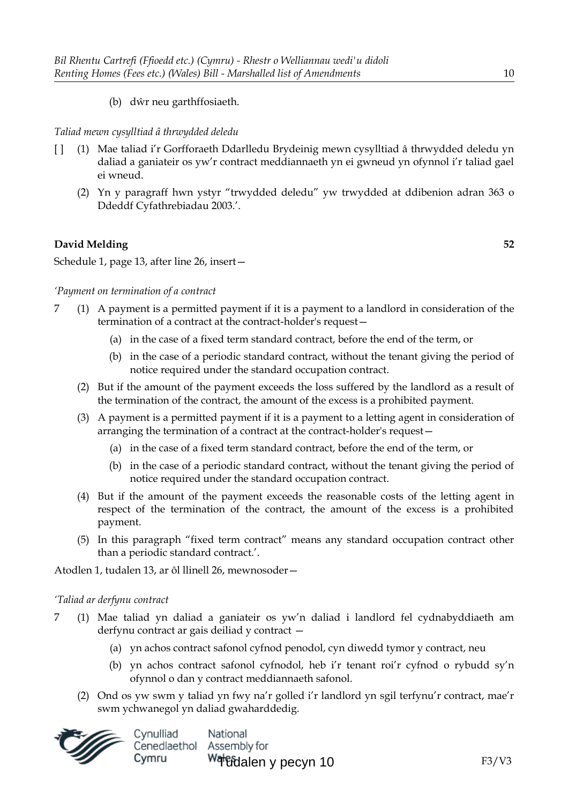(b) dŵr neu garthffosiaeth.

#### *Taliad mewn cysylltiad â thrwydded deledu*

- [ ] (1) Mae taliad i'r Gorfforaeth Ddarlledu Brydeinig mewn cysylltiad â thrwydded deledu yn daliad a ganiateir os yw'r contract meddiannaeth yn ei gwneud yn ofynnol i'r taliad gael ei wneud.
	- (2) Yn y paragraff hwn ystyr "trwydded deledu" yw trwydded at ddibenion adran 363 o Ddeddf Cyfathrebiadau 2003.'.

#### **David Melding 52**

Schedule 1, page 13, after line 26, insert—

#### *'Payment on termination of a contract*

- 7 (1) A payment is a permitted payment if it is a payment to a landlord in consideration of the termination of a contract at the contract-holder's request—
	- (a) in the case of a fixed term standard contract, before the end of the term, or
	- (b) in the case of a periodic standard contract, without the tenant giving the period of notice required under the standard occupation contract.
	- (2) But if the amount of the payment exceeds the loss suffered by the landlord as a result of the termination of the contract, the amount of the excess is a prohibited payment.
	- (3) A payment is a permitted payment if it is a payment to a letting agent in consideration of arranging the termination of a contract at the contract-holder's request—
		- (a) in the case of a fixed term standard contract, before the end of the term, or
		- (b) in the case of a periodic standard contract, without the tenant giving the period of notice required under the standard occupation contract.
	- (4) But if the amount of the payment exceeds the reasonable costs of the letting agent in respect of the termination of the contract, the amount of the excess is a prohibited payment.
	- (5) In this paragraph "fixed term contract" means any standard occupation contract other than a periodic standard contract.'.

Atodlen 1, tudalen 13, ar ôl llinell 26, mewnosoder—

#### *'Taliad ar derfynu contract*

- 7 (1) Mae taliad yn daliad a ganiateir os yw'n daliad i landlord fel cydnabyddiaeth am derfynu contract ar gais deiliad y contract —
	- (a) yn achos contract safonol cyfnod penodol, cyn diwedd tymor y contract, neu
	- (b) yn achos contract safonol cyfnodol, heb i'r tenant roi'r cyfnod o rybudd sy'n ofynnol o dan y contract meddiannaeth safonol.
	- (2) Ond os yw swm y taliad yn fwy na'r golled i'r landlord yn sgil terfynu'r contract, mae'r swm ychwanegol yn daliad gwaharddedig.

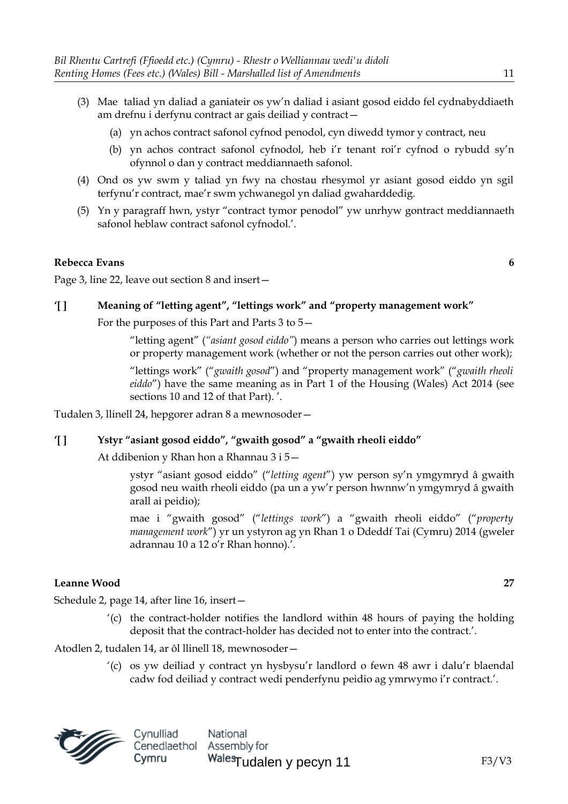- (3) Mae taliad yn daliad a ganiateir os yw'n daliad i asiant gosod eiddo fel cydnabyddiaeth am drefnu i derfynu contract ar gais deiliad y contract—
	- (a) yn achos contract safonol cyfnod penodol, cyn diwedd tymor y contract, neu
	- (b) yn achos contract safonol cyfnodol, heb i'r tenant roi'r cyfnod o rybudd sy'n ofynnol o dan y contract meddiannaeth safonol.
- (4) Ond os yw swm y taliad yn fwy na chostau rhesymol yr asiant gosod eiddo yn sgil terfynu'r contract, mae'r swm ychwanegol yn daliad gwaharddedig.
- (5) Yn y paragraff hwn, ystyr "contract tymor penodol" yw unrhyw gontract meddiannaeth safonol heblaw contract safonol cyfnodol.'.

#### **Rebecca Evans 6**

Page 3, line 22, leave out section 8 and insert—

#### **'[ ] Meaning of "letting agent", "lettings work" and "property management work"**

For the purposes of this Part and Parts 3 to 5—

"letting agent" (*"asiant gosod eiddo"*) means a person who carries out lettings work or property management work (whether or not the person carries out other work);

"lettings work" ("*gwaith gosod*") and "property management work" ("*gwaith rheoli eiddo*") have the same meaning as in Part 1 of the Housing (Wales) Act 2014 (see sections 10 and 12 of that Part). '.

Tudalen 3, llinell 24, hepgorer adran 8 a mewnosoder—

#### **'[ ] Ystyr "asiant gosod eiddo", "gwaith gosod" a "gwaith rheoli eiddo"**

At ddibenion y Rhan hon a Rhannau 3 i 5—

ystyr "asiant gosod eiddo" ("*letting agent*") yw person sy'n ymgymryd â gwaith gosod neu waith rheoli eiddo (pa un a yw'r person hwnnw'n ymgymryd â gwaith arall ai peidio);

mae i "gwaith gosod" ("*lettings work*") a "gwaith rheoli eiddo" ("*property management work*") yr un ystyron ag yn Rhan 1 o Ddeddf Tai (Cymru) 2014 (gweler adrannau 10 a 12 o'r Rhan honno).'.

#### **Leanne Wood 27**

Schedule 2, page 14, after line 16, insert—

'(c) the contract-holder notifies the landlord within 48 hours of paying the holding deposit that the contract-holder has decided not to enter into the contract.'.

Atodlen 2, tudalen 14, ar ôl llinell 18, mewnosoder—

'(c) os yw deiliad y contract yn hysbysu'r landlord o fewn 48 awr i dalu'r blaendal cadw fod deiliad y contract wedi penderfynu peidio ag ymrwymo i'r contract.'.



F3/V3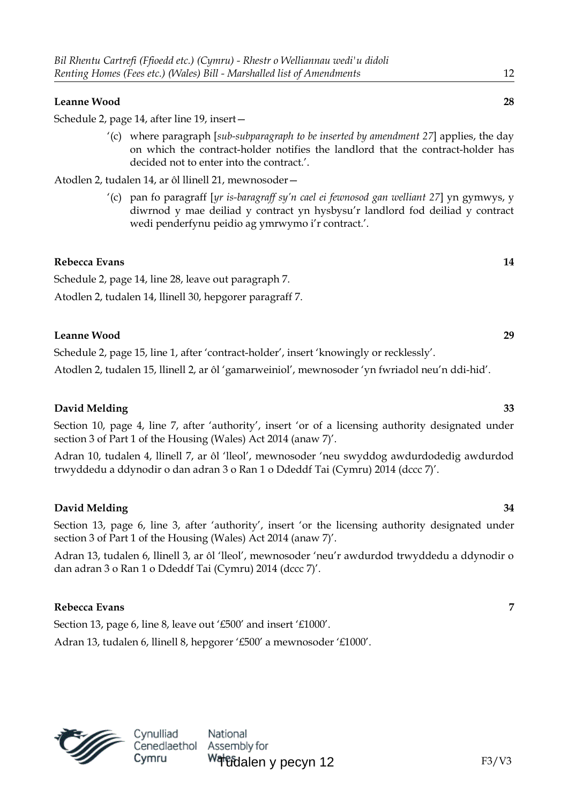#### **Leanne Wood 28**

Schedule 2, page 14, after line 19, insert—

'(c) where paragraph [*sub-subparagraph to be inserted by amendment 27*] applies, the day on which the contract-holder notifies the landlord that the contract-holder has decided not to enter into the contract.'.

Atodlen 2, tudalen 14, ar ôl llinell 21, mewnosoder—

'(c) pan fo paragraff [*yr is-baragraff sy'n cael ei fewnosod gan welliant 27*] yn gymwys, y diwrnod y mae deiliad y contract yn hysbysu'r landlord fod deiliad y contract wedi penderfynu peidio ag ymrwymo i'r contract.'.

#### **Rebecca Evans 14**

Schedule 2, page 14, line 28, leave out paragraph 7. Atodlen 2, tudalen 14, llinell 30, hepgorer paragraff 7.

#### **Leanne Wood 29**

Schedule 2, page 15, line 1, after 'contract-holder', insert 'knowingly or recklessly'.

Atodlen 2, tudalen 15, llinell 2, ar ôl 'gamarweiniol', mewnosoder 'yn fwriadol neu'n ddi-hid'.

#### **David Melding 33**

Section 10, page 4, line 7, after 'authority', insert 'or of a licensing authority designated under section 3 of Part 1 of the Housing (Wales) Act 2014 (anaw 7)'.

Adran 10, tudalen 4, llinell 7, ar ôl 'lleol', mewnosoder 'neu swyddog awdurdodedig awdurdod trwyddedu a ddynodir o dan adran 3 o Ran 1 o Ddeddf Tai (Cymru) 2014 (dccc 7)'.

#### **David Melding 34**

Section 13, page 6, line 3, after 'authority', insert 'or the licensing authority designated under section 3 of Part 1 of the Housing (Wales) Act 2014 (anaw 7)'.

Adran 13, tudalen 6, llinell 3, ar ôl 'lleol', mewnosoder 'neu'r awdurdod trwyddedu a ddynodir o dan adran 3 o Ran 1 o Ddeddf Tai (Cymru) 2014 (dccc 7)'.

#### **Rebecca Evans 7**

Section 13, page 6, line 8, leave out '£500' and insert '£1000'.

Adran 13, tudalen 6, llinell 8, hepgorer '£500' a mewnosoder '£1000'.

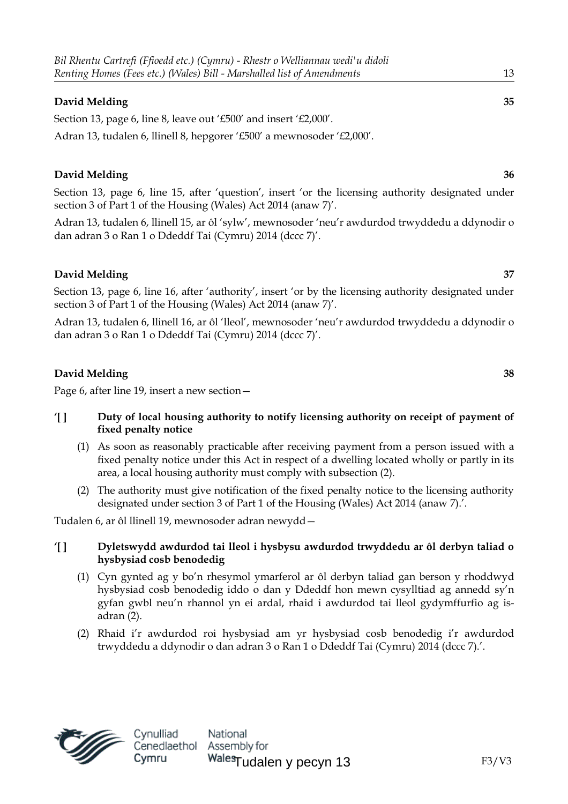Section 13, page 6, line 8, leave out '£500' and insert '£2,000'. Adran 13, tudalen 6, llinell 8, hepgorer '£500' a mewnosoder '£2,000'.

#### **David Melding 36**

Section 13, page 6, line 15, after 'question', insert 'or the licensing authority designated under section 3 of Part 1 of the Housing (Wales) Act 2014 (anaw 7)'.

Adran 13, tudalen 6, llinell 15, ar ôl 'sylw', mewnosoder 'neu'r awdurdod trwyddedu a ddynodir o dan adran 3 o Ran 1 o Ddeddf Tai (Cymru) 2014 (dccc 7)'.

#### **David Melding 37**

Section 13, page 6, line 16, after 'authority', insert 'or by the licensing authority designated under section 3 of Part 1 of the Housing (Wales) Act 2014 (anaw 7)'.

Adran 13, tudalen 6, llinell 16, ar ôl 'lleol', mewnosoder 'neu'r awdurdod trwyddedu a ddynodir o dan adran 3 o Ran 1 o Ddeddf Tai (Cymru) 2014 (dccc 7)'.

#### **David Melding 38**

Page 6, after line 19, insert a new section—

#### **'[ ] Duty of local housing authority to notify licensing authority on receipt of payment of fixed penalty notice**

- (1) As soon as reasonably practicable after receiving payment from a person issued with a fixed penalty notice under this Act in respect of a dwelling located wholly or partly in its area, a local housing authority must comply with subsection (2).
- (2) The authority must give notification of the fixed penalty notice to the licensing authority designated under section 3 of Part 1 of the Housing (Wales) Act 2014 (anaw 7).'.

Tudalen 6, ar ôl llinell 19, mewnosoder adran newydd—

#### **'[ ] Dyletswydd awdurdod tai lleol i hysbysu awdurdod trwyddedu ar ôl derbyn taliad o hysbysiad cosb benodedig**

- (1) Cyn gynted ag y bo'n rhesymol ymarferol ar ôl derbyn taliad gan berson y rhoddwyd hysbysiad cosb benodedig iddo o dan y Ddeddf hon mewn cysylltiad ag annedd sy'n gyfan gwbl neu'n rhannol yn ei ardal, rhaid i awdurdod tai lleol gydymffurfio ag isadran (2).
- (2) Rhaid i'r awdurdod roi hysbysiad am yr hysbysiad cosb benodedig i'r awdurdod trwyddedu a ddynodir o dan adran 3 o Ran 1 o Ddeddf Tai (Cymru) 2014 (dccc 7).'.

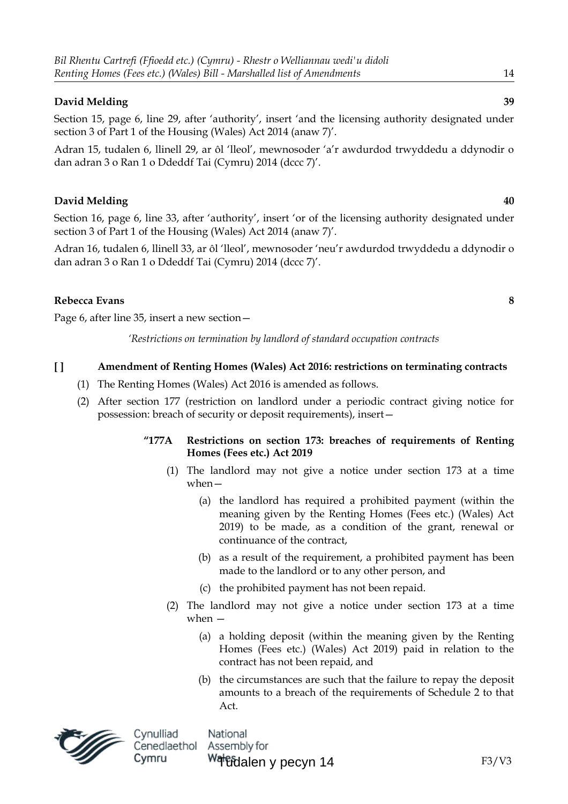Section 15, page 6, line 29, after 'authority', insert 'and the licensing authority designated under section 3 of Part 1 of the Housing (Wales) Act 2014 (anaw 7)'.

Adran 15, tudalen 6, llinell 29, ar ôl 'lleol', mewnosoder 'a'r awdurdod trwyddedu a ddynodir o dan adran 3 o Ran 1 o Ddeddf Tai (Cymru) 2014 (dccc 7)'.

#### **David Melding 40**

Section 16, page 6, line 33, after 'authority', insert 'or of the licensing authority designated under section 3 of Part 1 of the Housing (Wales) Act 2014 (anaw 7)'.

Adran 16, tudalen 6, llinell 33, ar ôl 'lleol', mewnosoder 'neu'r awdurdod trwyddedu a ddynodir o dan adran 3 o Ran 1 o Ddeddf Tai (Cymru) 2014 (dccc 7)'.

#### **Rebecca Evans 8**

Page 6, after line 35, insert a new section—

*'Restrictions on termination by landlord of standard occupation contracts*

#### **[ ] Amendment of Renting Homes (Wales) Act 2016: restrictions on terminating contracts**

- (1) The Renting Homes (Wales) Act 2016 is amended as follows.
- (2) After section 177 (restriction on landlord under a periodic contract giving notice for possession: breach of security or deposit requirements), insert—

#### **"177A Restrictions on section 173: breaches of requirements of Renting Homes (Fees etc.) Act 2019**

- (1) The landlord may not give a notice under section 173 at a time when—
	- (a) the landlord has required a prohibited payment (within the meaning given by the Renting Homes (Fees etc.) (Wales) Act 2019) to be made, as a condition of the grant, renewal or continuance of the contract,
	- (b) as a result of the requirement, a prohibited payment has been made to the landlord or to any other person, and
	- (c) the prohibited payment has not been repaid.
- (2) The landlord may not give a notice under section 173 at a time when —
	- (a) a holding deposit (within the meaning given by the Renting Homes (Fees etc.) (Wales) Act 2019) paid in relation to the contract has not been repaid, and
	- (b) the circumstances are such that the failure to repay the deposit amounts to a breach of the requirements of Schedule 2 to that Act.



National Assembly for Watudalen y pecyn 14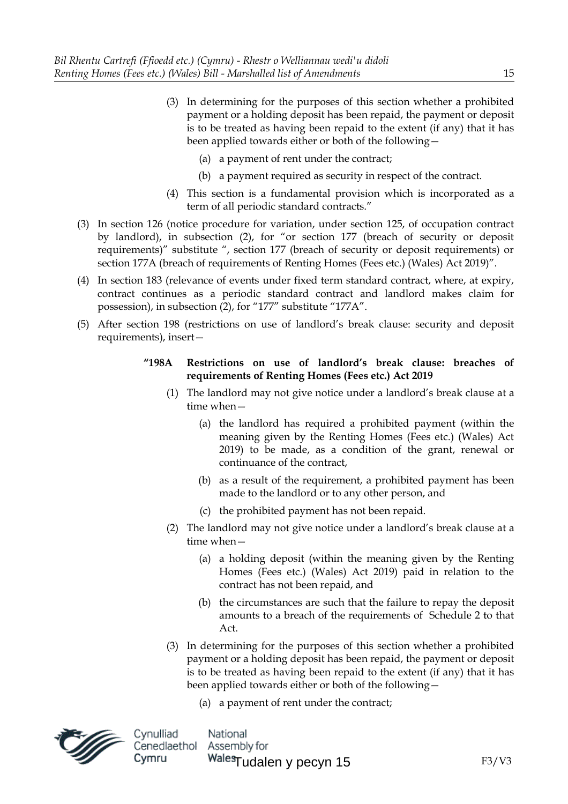- (3) In determining for the purposes of this section whether a prohibited payment or a holding deposit has been repaid, the payment or deposit is to be treated as having been repaid to the extent (if any) that it has been applied towards either or both of the following—
	- (a) a payment of rent under the contract;
	- (b) a payment required as security in respect of the contract.
- (4) This section is a fundamental provision which is incorporated as a term of all periodic standard contracts."
- (3) In section 126 (notice procedure for variation, under section 125, of occupation contract by landlord), in subsection (2), for "or section 177 (breach of security or deposit requirements)" substitute ", section 177 (breach of security or deposit requirements) or section 177A (breach of requirements of Renting Homes (Fees etc.) (Wales) Act 2019)".
- (4) In section 183 (relevance of events under fixed term standard contract, where, at expiry, contract continues as a periodic standard contract and landlord makes claim for possession), in subsection (2), for "177" substitute "177A".
- (5) After section 198 (restrictions on use of landlord's break clause: security and deposit requirements), insert—

#### **"198A Restrictions on use of landlord's break clause: breaches of requirements of Renting Homes (Fees etc.) Act 2019**

- (1) The landlord may not give notice under a landlord's break clause at a time when—
	- (a) the landlord has required a prohibited payment (within the meaning given by the Renting Homes (Fees etc.) (Wales) Act 2019) to be made, as a condition of the grant, renewal or continuance of the contract,
	- (b) as a result of the requirement, a prohibited payment has been made to the landlord or to any other person, and
	- (c) the prohibited payment has not been repaid.
- (2) The landlord may not give notice under a landlord's break clause at a time when—
	- (a) a holding deposit (within the meaning given by the Renting Homes (Fees etc.) (Wales) Act 2019) paid in relation to the contract has not been repaid, and
	- (b) the circumstances are such that the failure to repay the deposit amounts to a breach of the requirements of Schedule 2 to that Act.
- (3) In determining for the purposes of this section whether a prohibited payment or a holding deposit has been repaid, the payment or deposit is to be treated as having been repaid to the extent (if any) that it has been applied towards either or both of the following—
	- (a) a payment of rent under the contract;



National Cenedlaethol Assembly for WalesTudalen y pecyn 15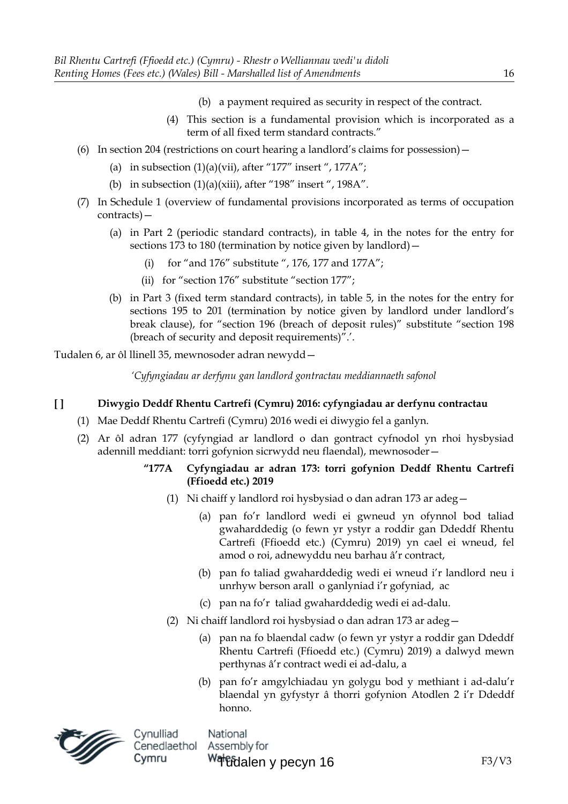- (b) a payment required as security in respect of the contract.
- (4) This section is a fundamental provision which is incorporated as a term of all fixed term standard contracts."
- (6) In section 204 (restrictions on court hearing a landlord's claims for possession)—
	- (a) in subsection  $(1)(a)(vii)$ , after "177" insert ", 177A";
	- (b) in subsection  $(1)(a)(xiii)$ , after "198" insert ", 198A".
- (7) In Schedule 1 (overview of fundamental provisions incorporated as terms of occupation contracts)—
	- (a) in Part 2 (periodic standard contracts), in table 4, in the notes for the entry for sections 173 to 180 (termination by notice given by landlord)
		- for "and 176" substitute ", 176, 177 and 177A";
		- (ii) for "section 176" substitute "section 177";
	- (b) in Part 3 (fixed term standard contracts), in table 5, in the notes for the entry for sections 195 to 201 (termination by notice given by landlord under landlord's break clause), for "section 196 (breach of deposit rules)" substitute "section 198 (breach of security and deposit requirements)".'.

Tudalen 6, ar ôl llinell 35, mewnosoder adran newydd—

*'Cyfyngiadau ar derfynu gan landlord gontractau meddiannaeth safonol*

#### **[ ] Diwygio Deddf Rhentu Cartrefi (Cymru) 2016: cyfyngiadau ar derfynu contractau**

- (1) Mae Deddf Rhentu Cartrefi (Cymru) 2016 wedi ei diwygio fel a ganlyn.
- (2) Ar ôl adran 177 (cyfyngiad ar landlord o dan gontract cyfnodol yn rhoi hysbysiad adennill meddiant: torri gofynion sicrwydd neu flaendal), mewnosoder—

#### **"177A Cyfyngiadau ar adran 173: torri gofynion Deddf Rhentu Cartrefi (Ffioedd etc.) 2019**

- (1) Ni chaiff y landlord roi hysbysiad o dan adran 173 ar adeg—
	- (a) pan fo'r landlord wedi ei gwneud yn ofynnol bod taliad gwaharddedig (o fewn yr ystyr a roddir gan Ddeddf Rhentu Cartrefi (Ffioedd etc.) (Cymru) 2019) yn cael ei wneud, fel amod o roi, adnewyddu neu barhau â'r contract,
	- (b) pan fo taliad gwaharddedig wedi ei wneud i'r landlord neu i unrhyw berson arall o ganlyniad i'r gofyniad, ac
	- (c) pan na fo'r taliad gwaharddedig wedi ei ad-dalu.
- (2) Ni chaiff landlord roi hysbysiad o dan adran 173 ar adeg—
	- (a) pan na fo blaendal cadw (o fewn yr ystyr a roddir gan Ddeddf Rhentu Cartrefi (Ffioedd etc.) (Cymru) 2019) a dalwyd mewn perthynas â'r contract wedi ei ad-dalu, a
	- (b) pan fo'r amgylchiadau yn golygu bod y methiant i ad-dalu'r blaendal yn gyfystyr â thorri gofynion Atodlen 2 i'r Ddeddf honno.



Cynulliad Cenedlaethol Cymru

National Assembly for Watudalen y pecyn 16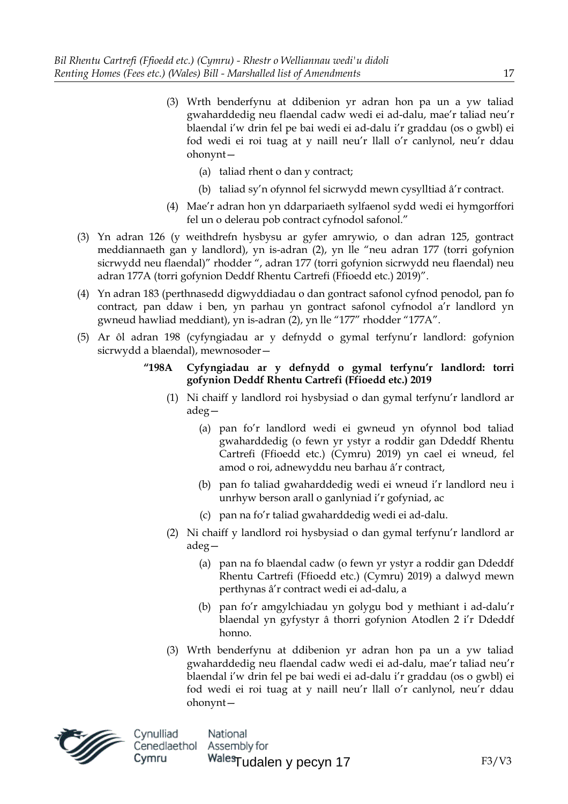- (3) Wrth benderfynu at ddibenion yr adran hon pa un a yw taliad gwaharddedig neu flaendal cadw wedi ei ad-dalu, mae'r taliad neu'r blaendal i'w drin fel pe bai wedi ei ad-dalu i'r graddau (os o gwbl) ei fod wedi ei roi tuag at y naill neu'r llall o'r canlynol, neu'r ddau ohonynt—
	- (a) taliad rhent o dan y contract;
	- (b) taliad sy'n ofynnol fel sicrwydd mewn cysylltiad â'r contract.
- (4) Mae'r adran hon yn ddarpariaeth sylfaenol sydd wedi ei hymgorffori fel un o delerau pob contract cyfnodol safonol."
- (3) Yn adran 126 (y weithdrefn hysbysu ar gyfer amrywio, o dan adran 125, gontract meddiannaeth gan y landlord), yn is-adran (2), yn lle "neu adran 177 (torri gofynion sicrwydd neu flaendal)" rhodder ", adran 177 (torri gofynion sicrwydd neu flaendal) neu adran 177A (torri gofynion Deddf Rhentu Cartrefi (Ffioedd etc.) 2019)".
- (4) Yn adran 183 (perthnasedd digwyddiadau o dan gontract safonol cyfnod penodol, pan fo contract, pan ddaw i ben, yn parhau yn gontract safonol cyfnodol a'r landlord yn gwneud hawliad meddiant), yn is-adran (2), yn lle "177" rhodder "177A".
- (5) Ar ôl adran 198 (cyfyngiadau ar y defnydd o gymal terfynu'r landlord: gofynion sicrwydd a blaendal), mewnosoder—
	- **"198A Cyfyngiadau ar y defnydd o gymal terfynu'r landlord: torri gofynion Deddf Rhentu Cartrefi (Ffioedd etc.) 2019**
		- (1) Ni chaiff y landlord roi hysbysiad o dan gymal terfynu'r landlord ar adeg—
			- (a) pan fo'r landlord wedi ei gwneud yn ofynnol bod taliad gwaharddedig (o fewn yr ystyr a roddir gan Ddeddf Rhentu Cartrefi (Ffioedd etc.) (Cymru) 2019) yn cael ei wneud, fel amod o roi, adnewyddu neu barhau â'r contract,
			- (b) pan fo taliad gwaharddedig wedi ei wneud i'r landlord neu i unrhyw berson arall o ganlyniad i'r gofyniad, ac
			- (c) pan na fo'r taliad gwaharddedig wedi ei ad-dalu.
		- (2) Ni chaiff y landlord roi hysbysiad o dan gymal terfynu'r landlord ar adeg—
			- (a) pan na fo blaendal cadw (o fewn yr ystyr a roddir gan Ddeddf Rhentu Cartrefi (Ffioedd etc.) (Cymru) 2019) a dalwyd mewn perthynas â'r contract wedi ei ad-dalu, a
			- (b) pan fo'r amgylchiadau yn golygu bod y methiant i ad-dalu'r blaendal yn gyfystyr â thorri gofynion Atodlen 2 i'r Ddeddf honno.
		- (3) Wrth benderfynu at ddibenion yr adran hon pa un a yw taliad gwaharddedig neu flaendal cadw wedi ei ad-dalu, mae'r taliad neu'r blaendal i'w drin fel pe bai wedi ei ad-dalu i'r graddau (os o gwbl) ei fod wedi ei roi tuag at y naill neu'r llall o'r canlynol, neu'r ddau ohonynt—



Cynulliad National Cenedlaethol Assembly for Wales<sub>Tudalen y pecyn 17</sub> Cymru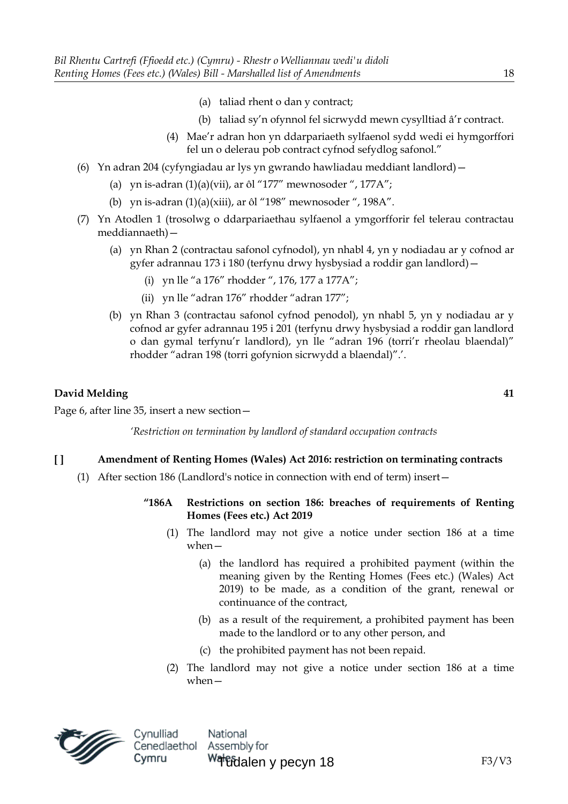- (a) taliad rhent o dan y contract;
- (b) taliad sy'n ofynnol fel sicrwydd mewn cysylltiad â'r contract.
- (4) Mae'r adran hon yn ddarpariaeth sylfaenol sydd wedi ei hymgorffori fel un o delerau pob contract cyfnod sefydlog safonol."
- (6) Yn adran 204 (cyfyngiadau ar lys yn gwrando hawliadau meddiant landlord)—
	- (a) yn is-adran  $(1)(a)(vii)$ , ar ôl "177" mewnosoder ", 177A";
	- (b) yn is-adran (1)(a)(xiii), ar ôl "198" mewnosoder ", 198A".
- (7) Yn Atodlen 1 (trosolwg o ddarpariaethau sylfaenol a ymgorfforir fel telerau contractau meddiannaeth)—
	- (a) yn Rhan 2 (contractau safonol cyfnodol), yn nhabl 4, yn y nodiadau ar y cofnod ar gyfer adrannau 173 i 180 (terfynu drwy hysbysiad a roddir gan landlord)—
		- (i) yn lle "a 176" rhodder ", 176, 177 a 177A";
		- (ii) yn lle "adran 176" rhodder "adran 177";
	- (b) yn Rhan 3 (contractau safonol cyfnod penodol), yn nhabl 5, yn y nodiadau ar y cofnod ar gyfer adrannau 195 i 201 (terfynu drwy hysbysiad a roddir gan landlord o dan gymal terfynu'r landlord), yn lle "adran 196 (torri'r rheolau blaendal)" rhodder "adran 198 (torri gofynion sicrwydd a blaendal)".'.

Page 6, after line 35, insert a new section—

*'Restriction on termination by landlord of standard occupation contracts*

#### **[ ] Amendment of Renting Homes (Wales) Act 2016: restriction on terminating contracts**

- (1) After section 186 (Landlord's notice in connection with end of term) insert—
	- **"186A Restrictions on section 186: breaches of requirements of Renting Homes (Fees etc.) Act 2019**
		- (1) The landlord may not give a notice under section 186 at a time when—
			- (a) the landlord has required a prohibited payment (within the meaning given by the Renting Homes (Fees etc.) (Wales) Act 2019) to be made, as a condition of the grant, renewal or continuance of the contract,
			- (b) as a result of the requirement, a prohibited payment has been made to the landlord or to any other person, and
			- (c) the prohibited payment has not been repaid.
		- (2) The landlord may not give a notice under section 186 at a time when—

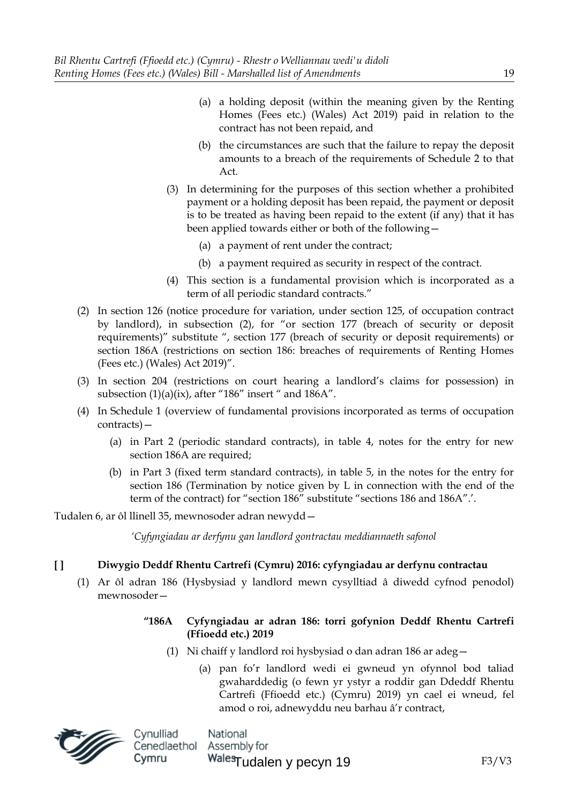- (a) a holding deposit (within the meaning given by the Renting Homes (Fees etc.) (Wales) Act 2019) paid in relation to the contract has not been repaid, and
- (b) the circumstances are such that the failure to repay the deposit amounts to a breach of the requirements of Schedule 2 to that Act.
- (3) In determining for the purposes of this section whether a prohibited payment or a holding deposit has been repaid, the payment or deposit is to be treated as having been repaid to the extent (if any) that it has been applied towards either or both of the following—
	- (a) a payment of rent under the contract;
	- (b) a payment required as security in respect of the contract.
- (4) This section is a fundamental provision which is incorporated as a term of all periodic standard contracts."
- (2) In section 126 (notice procedure for variation, under section 125, of occupation contract by landlord), in subsection (2), for "or section 177 (breach of security or deposit requirements)" substitute ", section 177 (breach of security or deposit requirements) or section 186A (restrictions on section 186: breaches of requirements of Renting Homes (Fees etc.) (Wales) Act 2019)".
- (3) In section 204 (restrictions on court hearing a landlord's claims for possession) in subsection (1)(a)(ix), after "186" insert " and 186A".
- (4) In Schedule 1 (overview of fundamental provisions incorporated as terms of occupation contracts)—
	- (a) in Part 2 (periodic standard contracts), in table 4, notes for the entry for new section 186A are required:
	- (b) in Part 3 (fixed term standard contracts), in table 5, in the notes for the entry for section 186 (Termination by notice given by L in connection with the end of the term of the contract) for "section 186" substitute "sections 186 and 186A".'.

Tudalen 6, ar ôl llinell 35, mewnosoder adran newydd—

*'Cyfyngiadau ar derfynu gan landlord gontractau meddiannaeth safonol*

### **[ ] Diwygio Deddf Rhentu Cartrefi (Cymru) 2016: cyfyngiadau ar derfynu contractau**

(1) Ar ôl adran 186 (Hysbysiad y landlord mewn cysylltiad â diwedd cyfnod penodol) mewnosoder—

#### **"186A Cyfyngiadau ar adran 186: torri gofynion Deddf Rhentu Cartrefi (Ffioedd etc.) 2019**

- (1) Ni chaiff y landlord roi hysbysiad o dan adran 186 ar adeg—
	- (a) pan fo'r landlord wedi ei gwneud yn ofynnol bod taliad gwaharddedig (o fewn yr ystyr a roddir gan Ddeddf Rhentu Cartrefi (Ffioedd etc.) (Cymru) 2019) yn cael ei wneud, fel amod o roi, adnewyddu neu barhau â'r contract,

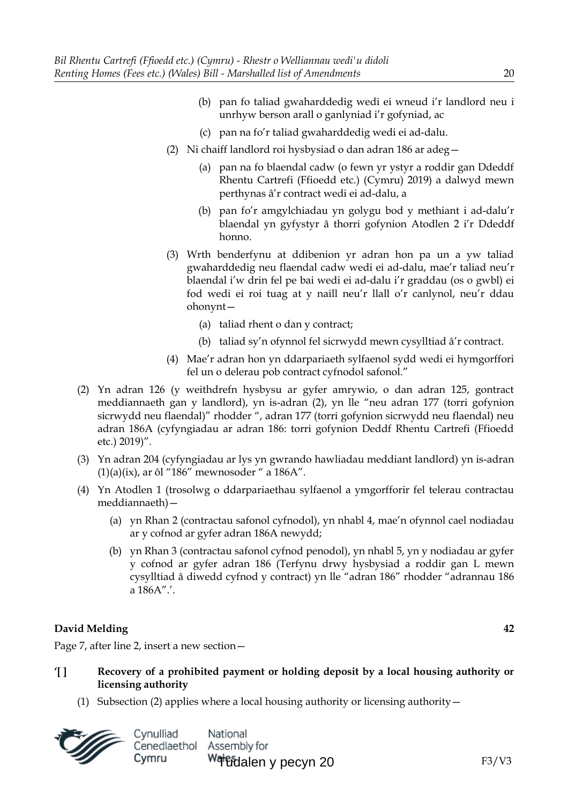- (b) pan fo taliad gwaharddedig wedi ei wneud i'r landlord neu i unrhyw berson arall o ganlyniad i'r gofyniad, ac
- (c) pan na fo'r taliad gwaharddedig wedi ei ad-dalu.
- (2) Ni chaiff landlord roi hysbysiad o dan adran 186 ar adeg—
	- (a) pan na fo blaendal cadw (o fewn yr ystyr a roddir gan Ddeddf Rhentu Cartrefi (Ffioedd etc.) (Cymru) 2019) a dalwyd mewn perthynas â'r contract wedi ei ad-dalu, a
	- (b) pan fo'r amgylchiadau yn golygu bod y methiant i ad-dalu'r blaendal yn gyfystyr â thorri gofynion Atodlen 2 i'r Ddeddf honno.
- (3) Wrth benderfynu at ddibenion yr adran hon pa un a yw taliad gwaharddedig neu flaendal cadw wedi ei ad-dalu, mae'r taliad neu'r blaendal i'w drin fel pe bai wedi ei ad-dalu i'r graddau (os o gwbl) ei fod wedi ei roi tuag at y naill neu'r llall o'r canlynol, neu'r ddau ohonynt—
	- (a) taliad rhent o dan y contract;
	- (b) taliad sy'n ofynnol fel sicrwydd mewn cysylltiad â'r contract.
- (4) Mae'r adran hon yn ddarpariaeth sylfaenol sydd wedi ei hymgorffori fel un o delerau pob contract cyfnodol safonol."
- (2) Yn adran 126 (y weithdrefn hysbysu ar gyfer amrywio, o dan adran 125, gontract meddiannaeth gan y landlord), yn is-adran (2), yn lle "neu adran 177 (torri gofynion sicrwydd neu flaendal)" rhodder ", adran 177 (torri gofynion sicrwydd neu flaendal) neu adran 186A (cyfyngiadau ar adran 186: torri gofynion Deddf Rhentu Cartrefi (Ffioedd etc.) 2019)".
- (3) Yn adran 204 (cyfyngiadau ar lys yn gwrando hawliadau meddiant landlord) yn is-adran  $(1)(a)(ix)$ , ar ôl "186" mewnosoder " a 186A".
- (4) Yn Atodlen 1 (trosolwg o ddarpariaethau sylfaenol a ymgorfforir fel telerau contractau meddiannaeth)—
	- (a) yn Rhan 2 (contractau safonol cyfnodol), yn nhabl 4, mae'n ofynnol cael nodiadau ar y cofnod ar gyfer adran 186A newydd;
	- (b) yn Rhan 3 (contractau safonol cyfnod penodol), yn nhabl 5, yn y nodiadau ar gyfer y cofnod ar gyfer adran 186 (Terfynu drwy hysbysiad a roddir gan L mewn cysylltiad â diwedd cyfnod y contract) yn lle "adran 186" rhodder "adrannau 186 a 186A".'.

Page 7, after line 2, insert a new section—

- **'[ ] Recovery of a prohibited payment or holding deposit by a local housing authority or licensing authority**
	- (1) Subsection (2) applies where a local housing authority or licensing authority  $-$

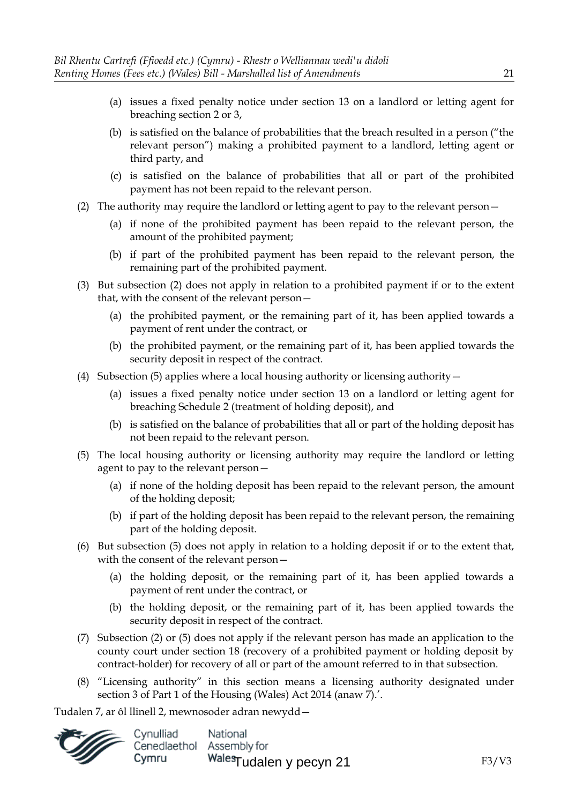- (a) issues a fixed penalty notice under section 13 on a landlord or letting agent for breaching section 2 or 3,
- (b) is satisfied on the balance of probabilities that the breach resulted in a person ("the relevant person") making a prohibited payment to a landlord, letting agent or third party, and
- (c) is satisfied on the balance of probabilities that all or part of the prohibited payment has not been repaid to the relevant person.
- (2) The authority may require the landlord or letting agent to pay to the relevant person—
	- (a) if none of the prohibited payment has been repaid to the relevant person, the amount of the prohibited payment;
	- (b) if part of the prohibited payment has been repaid to the relevant person, the remaining part of the prohibited payment.
- (3) But subsection (2) does not apply in relation to a prohibited payment if or to the extent that, with the consent of the relevant person—
	- (a) the prohibited payment, or the remaining part of it, has been applied towards a payment of rent under the contract, or
	- (b) the prohibited payment, or the remaining part of it, has been applied towards the security deposit in respect of the contract.
- (4) Subsection (5) applies where a local housing authority or licensing authority—
	- (a) issues a fixed penalty notice under section 13 on a landlord or letting agent for breaching Schedule 2 (treatment of holding deposit), and
	- (b) is satisfied on the balance of probabilities that all or part of the holding deposit has not been repaid to the relevant person.
- (5) The local housing authority or licensing authority may require the landlord or letting agent to pay to the relevant person—
	- (a) if none of the holding deposit has been repaid to the relevant person, the amount of the holding deposit;
	- (b) if part of the holding deposit has been repaid to the relevant person, the remaining part of the holding deposit.
- (6) But subsection (5) does not apply in relation to a holding deposit if or to the extent that, with the consent of the relevant person—
	- (a) the holding deposit, or the remaining part of it, has been applied towards a payment of rent under the contract, or
	- (b) the holding deposit, or the remaining part of it, has been applied towards the security deposit in respect of the contract.
- (7) Subsection (2) or (5) does not apply if the relevant person has made an application to the county court under section 18 (recovery of a prohibited payment or holding deposit by contract-holder) for recovery of all or part of the amount referred to in that subsection.
- (8) "Licensing authority" in this section means a licensing authority designated under section 3 of Part 1 of the Housing (Wales) Act 2014 (anaw 7).'.

Tudalen 7, ar ôl llinell 2, mewnosoder adran newydd—

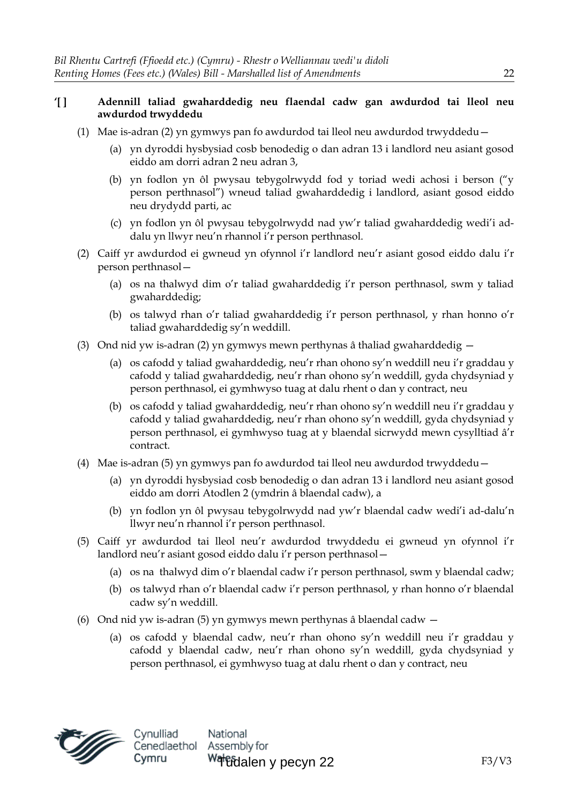#### **'[ ] Adennill taliad gwaharddedig neu flaendal cadw gan awdurdod tai lleol neu awdurdod trwyddedu**

- (1) Mae is-adran (2) yn gymwys pan fo awdurdod tai lleol neu awdurdod trwyddedu—
	- (a) yn dyroddi hysbysiad cosb benodedig o dan adran 13 i landlord neu asiant gosod eiddo am dorri adran 2 neu adran 3,
	- (b) yn fodlon yn ôl pwysau tebygolrwydd fod y toriad wedi achosi i berson ("y person perthnasol") wneud taliad gwaharddedig i landlord, asiant gosod eiddo neu drydydd parti, ac
	- (c) yn fodlon yn ôl pwysau tebygolrwydd nad yw'r taliad gwaharddedig wedi'i addalu yn llwyr neu'n rhannol i'r person perthnasol.
- (2) Caiff yr awdurdod ei gwneud yn ofynnol i'r landlord neu'r asiant gosod eiddo dalu i'r person perthnasol—
	- (a) os na thalwyd dim o'r taliad gwaharddedig i'r person perthnasol, swm y taliad gwaharddedig;
	- (b) os talwyd rhan o'r taliad gwaharddedig i'r person perthnasol, y rhan honno o'r taliad gwaharddedig sy'n weddill.
- (3) Ond nid yw is-adran (2) yn gymwys mewn perthynas â thaliad gwaharddedig
	- (a) os cafodd y taliad gwaharddedig, neu'r rhan ohono sy'n weddill neu i'r graddau y cafodd y taliad gwaharddedig, neu'r rhan ohono sy'n weddill, gyda chydsyniad y person perthnasol, ei gymhwyso tuag at dalu rhent o dan y contract, neu
	- (b) os cafodd y taliad gwaharddedig, neu'r rhan ohono sy'n weddill neu i'r graddau y cafodd y taliad gwaharddedig, neu'r rhan ohono sy'n weddill, gyda chydsyniad y person perthnasol, ei gymhwyso tuag at y blaendal sicrwydd mewn cysylltiad â'r contract.
- (4) Mae is-adran (5) yn gymwys pan fo awdurdod tai lleol neu awdurdod trwyddedu—
	- (a) yn dyroddi hysbysiad cosb benodedig o dan adran 13 i landlord neu asiant gosod eiddo am dorri Atodlen 2 (ymdrin â blaendal cadw), a
	- (b) yn fodlon yn ôl pwysau tebygolrwydd nad yw'r blaendal cadw wedi'i ad-dalu'n llwyr neu'n rhannol i'r person perthnasol.
- (5) Caiff yr awdurdod tai lleol neu'r awdurdod trwyddedu ei gwneud yn ofynnol i'r landlord neu'r asiant gosod eiddo dalu i'r person perthnasol—
	- (a) os na thalwyd dim o'r blaendal cadw i'r person perthnasol, swm y blaendal cadw;
	- (b) os talwyd rhan o'r blaendal cadw i'r person perthnasol, y rhan honno o'r blaendal cadw sy'n weddill.
- (6) Ond nid yw is-adran (5) yn gymwys mewn perthynas â blaendal cadw
	- (a) os cafodd y blaendal cadw, neu'r rhan ohono sy'n weddill neu i'r graddau y cafodd y blaendal cadw, neu'r rhan ohono sy'n weddill, gyda chydsyniad y person perthnasol, ei gymhwyso tuag at dalu rhent o dan y contract, neu

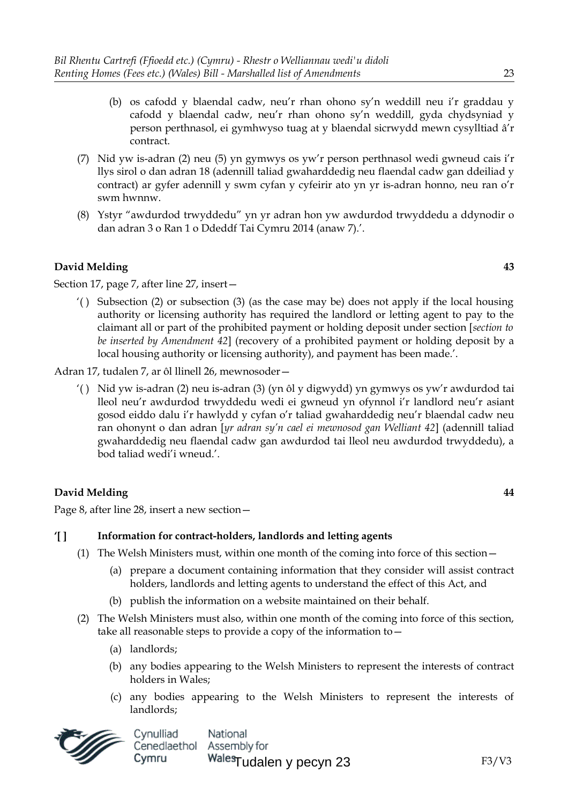- (b) os cafodd y blaendal cadw, neu'r rhan ohono sy'n weddill neu i'r graddau y cafodd y blaendal cadw, neu'r rhan ohono sy'n weddill, gyda chydsyniad y person perthnasol, ei gymhwyso tuag at y blaendal sicrwydd mewn cysylltiad â'r contract.
- (7) Nid yw is-adran (2) neu (5) yn gymwys os yw'r person perthnasol wedi gwneud cais i'r llys sirol o dan adran 18 (adennill taliad gwaharddedig neu flaendal cadw gan ddeiliad y contract) ar gyfer adennill y swm cyfan y cyfeirir ato yn yr is-adran honno, neu ran o'r swm hwnnw.
- (8) Ystyr "awdurdod trwyddedu" yn yr adran hon yw awdurdod trwyddedu a ddynodir o dan adran 3 o Ran 1 o Ddeddf Tai Cymru 2014 (anaw 7).'.

Section 17, page 7, after line 27, insert—

'() Subsection (2) or subsection (3) (as the case may be) does not apply if the local housing authority or licensing authority has required the landlord or letting agent to pay to the claimant all or part of the prohibited payment or holding deposit under section [*section to be inserted by Amendment 42*] (recovery of a prohibited payment or holding deposit by a local housing authority or licensing authority), and payment has been made.'.

Adran 17, tudalen 7, ar ôl llinell 26, mewnosoder—

'( ) Nid yw is-adran (2) neu is-adran (3) (yn ôl y digwydd) yn gymwys os yw'r awdurdod tai lleol neu'r awdurdod trwyddedu wedi ei gwneud yn ofynnol i'r landlord neu'r asiant gosod eiddo dalu i'r hawlydd y cyfan o'r taliad gwaharddedig neu'r blaendal cadw neu ran ohonynt o dan adran [*yr adran sy'n cael ei mewnosod gan Welliant 42*] (adennill taliad gwaharddedig neu flaendal cadw gan awdurdod tai lleol neu awdurdod trwyddedu), a bod taliad wedi'i wneud.'.

#### **David Melding 44**

Page 8, after line 28, insert a new section—

#### **'[ ] Information for contract-holders, landlords and letting agents**

- (1) The Welsh Ministers must, within one month of the coming into force of this section—
	- (a) prepare a document containing information that they consider will assist contract holders, landlords and letting agents to understand the effect of this Act, and
	- (b) publish the information on a website maintained on their behalf.
- (2) The Welsh Ministers must also, within one month of the coming into force of this section, take all reasonable steps to provide a copy of the information to—
	- (a) landlords;
	- (b) any bodies appearing to the Welsh Ministers to represent the interests of contract holders in Wales;
	- (c) any bodies appearing to the Welsh Ministers to represent the interests of landlords;

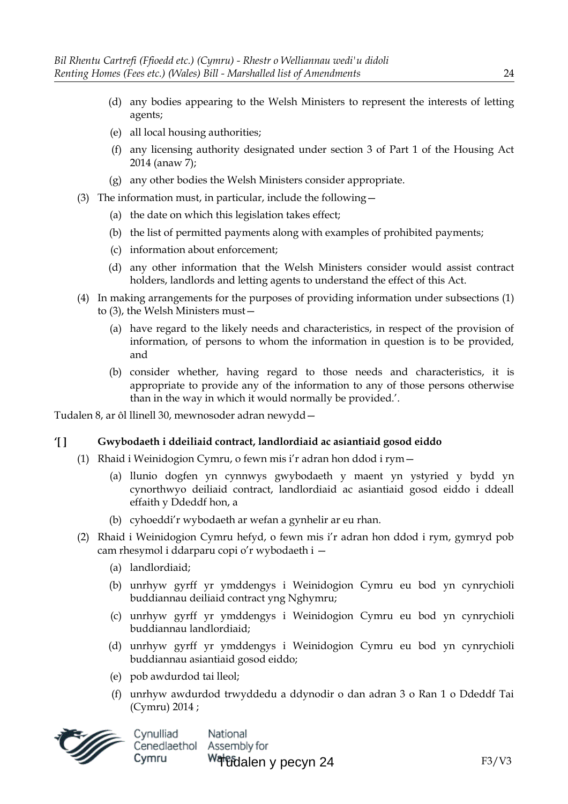- (d) any bodies appearing to the Welsh Ministers to represent the interests of letting agents;
- (e) all local housing authorities;
- (f) any licensing authority designated under section 3 of Part 1 of the Housing Act 2014 (anaw 7);
- (g) any other bodies the Welsh Ministers consider appropriate.
- (3) The information must, in particular, include the following—
	- (a) the date on which this legislation takes effect;
	- (b) the list of permitted payments along with examples of prohibited payments;
	- (c) information about enforcement;
	- (d) any other information that the Welsh Ministers consider would assist contract holders, landlords and letting agents to understand the effect of this Act.
- (4) In making arrangements for the purposes of providing information under subsections (1) to (3), the Welsh Ministers must—
	- (a) have regard to the likely needs and characteristics, in respect of the provision of information, of persons to whom the information in question is to be provided, and
	- (b) consider whether, having regard to those needs and characteristics, it is appropriate to provide any of the information to any of those persons otherwise than in the way in which it would normally be provided.'.

Tudalen 8, ar ôl llinell 30, mewnosoder adran newydd—

#### **'[ ] Gwybodaeth i ddeiliaid contract, landlordiaid ac asiantiaid gosod eiddo**

- (1) Rhaid i Weinidogion Cymru, o fewn mis i'r adran hon ddod i rym—
	- (a) llunio dogfen yn cynnwys gwybodaeth y maent yn ystyried y bydd yn cynorthwyo deiliaid contract, landlordiaid ac asiantiaid gosod eiddo i ddeall effaith y Ddeddf hon, a
	- (b) cyhoeddi'r wybodaeth ar wefan a gynhelir ar eu rhan.
- (2) Rhaid i Weinidogion Cymru hefyd, o fewn mis i'r adran hon ddod i rym, gymryd pob cam rhesymol i ddarparu copi o'r wybodaeth i —
	- (a) landlordiaid;
	- (b) unrhyw gyrff yr ymddengys i Weinidogion Cymru eu bod yn cynrychioli buddiannau deiliaid contract yng Nghymru;
	- (c) unrhyw gyrff yr ymddengys i Weinidogion Cymru eu bod yn cynrychioli buddiannau landlordiaid;
	- (d) unrhyw gyrff yr ymddengys i Weinidogion Cymru eu bod yn cynrychioli buddiannau asiantiaid gosod eiddo;
	- (e) pob awdurdod tai lleol;
	- (f) unrhyw awdurdod trwyddedu a ddynodir o dan adran 3 o Ran 1 o Ddeddf Tai (Cymru) 2014 ;

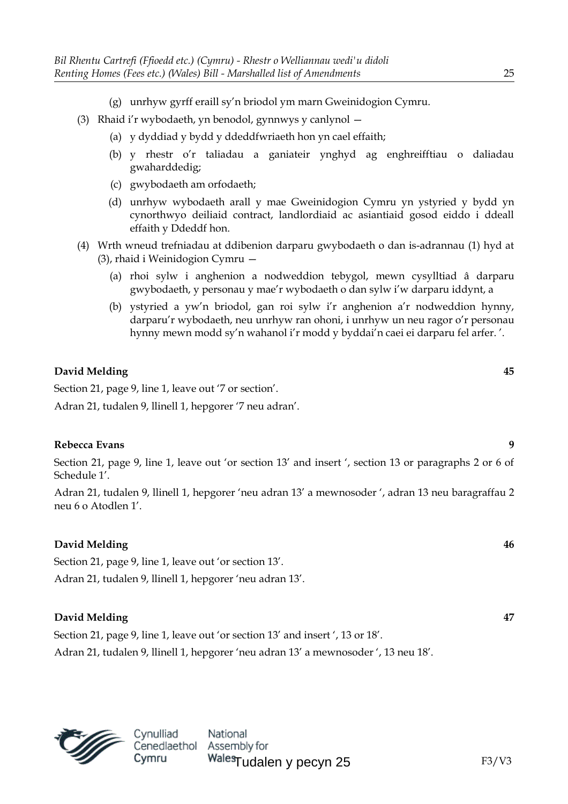- (g) unrhyw gyrff eraill sy'n briodol ym marn Gweinidogion Cymru.
- (3) Rhaid i'r wybodaeth, yn benodol, gynnwys y canlynol
	- (a) y dyddiad y bydd y ddeddfwriaeth hon yn cael effaith;
	- (b) y rhestr o'r taliadau a ganiateir ynghyd ag enghreifftiau o daliadau gwaharddedig;
	- (c) gwybodaeth am orfodaeth;
	- (d) unrhyw wybodaeth arall y mae Gweinidogion Cymru yn ystyried y bydd yn cynorthwyo deiliaid contract, landlordiaid ac asiantiaid gosod eiddo i ddeall effaith y Ddeddf hon.
- (4) Wrth wneud trefniadau at ddibenion darparu gwybodaeth o dan is-adrannau (1) hyd at (3), rhaid i Weinidogion Cymru —
	- (a) rhoi sylw i anghenion a nodweddion tebygol, mewn cysylltiad â darparu gwybodaeth, y personau y mae'r wybodaeth o dan sylw i'w darparu iddynt, a
	- (b) ystyried a yw'n briodol, gan roi sylw i'r anghenion a'r nodweddion hynny, darparu'r wybodaeth, neu unrhyw ran ohoni, i unrhyw un neu ragor o'r personau hynny mewn modd sy'n wahanol i'r modd y byddai'n caei ei darparu fel arfer. '.

Section 21, page 9, line 1, leave out '7 or section'.

Adran 21, tudalen 9, llinell 1, hepgorer '7 neu adran'.

#### **Rebecca Evans 9**

Section 21, page 9, line 1, leave out 'or section 13' and insert ', section 13 or paragraphs 2 or 6 of Schedule 1'.

Adran 21, tudalen 9, llinell 1, hepgorer 'neu adran 13' a mewnosoder ', adran 13 neu baragraffau 2 neu 6 o Atodlen 1'.

#### **David Melding 46**

Section 21, page 9, line 1, leave out 'or section 13'.

Adran 21, tudalen 9, llinell 1, hepgorer 'neu adran 13'.

#### **David Melding 47**

Section 21, page 9, line 1, leave out 'or section 13' and insert ', 13 or 18'. Adran 21, tudalen 9, llinell 1, hepgorer 'neu adran 13' a mewnosoder ', 13 neu 18'.



National Cenedlaethol Assembly for WalesTudalen y pecyn 25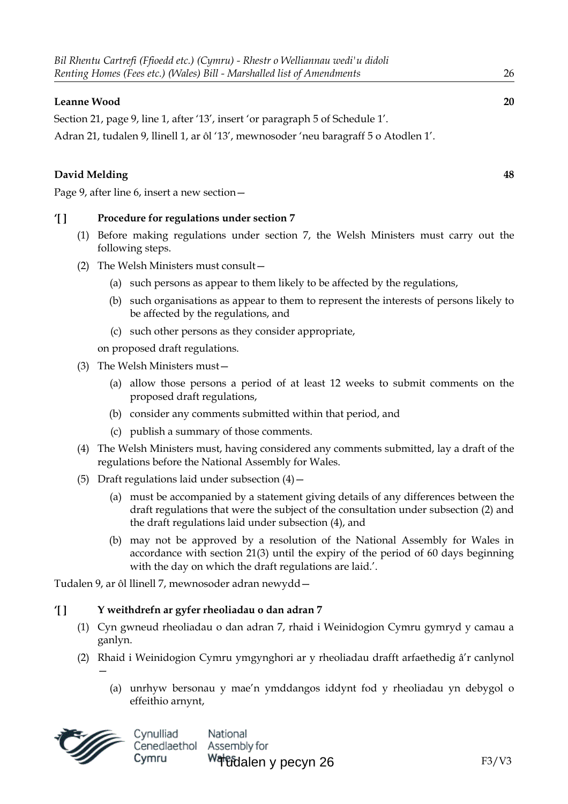#### **Leanne Wood 20**

Section 21, page 9, line 1, after '13', insert 'or paragraph 5 of Schedule 1'.

Adran 21, tudalen 9, llinell 1, ar ôl '13', mewnosoder 'neu baragraff 5 o Atodlen 1'.

#### **David Melding 48**

Page 9, after line 6, insert a new section—

**'[ ] Procedure for regulations under section 7**

- (1) Before making regulations under section 7, the Welsh Ministers must carry out the following steps.
- (2) The Welsh Ministers must consult—
	- (a) such persons as appear to them likely to be affected by the regulations,
	- (b) such organisations as appear to them to represent the interests of persons likely to be affected by the regulations, and
	- (c) such other persons as they consider appropriate,

on proposed draft regulations.

- (3) The Welsh Ministers must—
	- (a) allow those persons a period of at least 12 weeks to submit comments on the proposed draft regulations,
	- (b) consider any comments submitted within that period, and
	- (c) publish a summary of those comments.
- (4) The Welsh Ministers must, having considered any comments submitted, lay a draft of the regulations before the National Assembly for Wales.
- (5) Draft regulations laid under subsection  $(4)$  -
	- (a) must be accompanied by a statement giving details of any differences between the draft regulations that were the subject of the consultation under subsection (2) and the draft regulations laid under subsection (4), and
	- (b) may not be approved by a resolution of the National Assembly for Wales in accordance with section 21(3) until the expiry of the period of 60 days beginning with the day on which the draft regulations are laid.'.

Tudalen 9, ar ôl llinell 7, mewnosoder adran newydd—

#### **'[ ] Y weithdrefn ar gyfer rheoliadau o dan adran 7**

- (1) Cyn gwneud rheoliadau o dan adran 7, rhaid i Weinidogion Cymru gymryd y camau a ganlyn.
- (2) Rhaid i Weinidogion Cymru ymgynghori ar y rheoliadau drafft arfaethedig â'r canlynol —
	- (a) unrhyw bersonau y mae'n ymddangos iddynt fod y rheoliadau yn debygol o effeithio arnynt,

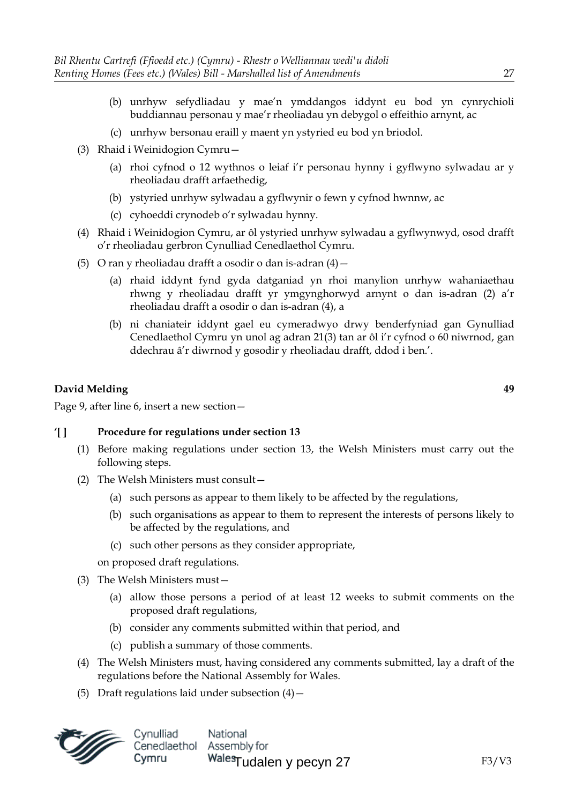- (b) unrhyw sefydliadau y mae'n ymddangos iddynt eu bod yn cynrychioli buddiannau personau y mae'r rheoliadau yn debygol o effeithio arnynt, ac
- (c) unrhyw bersonau eraill y maent yn ystyried eu bod yn briodol.
- (3) Rhaid i Weinidogion Cymru—
	- (a) rhoi cyfnod o 12 wythnos o leiaf i'r personau hynny i gyflwyno sylwadau ar y rheoliadau drafft arfaethedig,
	- (b) ystyried unrhyw sylwadau a gyflwynir o fewn y cyfnod hwnnw, ac
	- (c) cyhoeddi crynodeb o'r sylwadau hynny.
- (4) Rhaid i Weinidogion Cymru, ar ôl ystyried unrhyw sylwadau a gyflwynwyd, osod drafft o'r rheoliadau gerbron Cynulliad Cenedlaethol Cymru.
- (5) O ran y rheoliadau drafft a osodir o dan is-adran  $(4)$  -
	- (a) rhaid iddynt fynd gyda datganiad yn rhoi manylion unrhyw wahaniaethau rhwng y rheoliadau drafft yr ymgynghorwyd arnynt o dan is-adran (2) a'r rheoliadau drafft a osodir o dan is-adran (4), a
	- (b) ni chaniateir iddynt gael eu cymeradwyo drwy benderfyniad gan Gynulliad Cenedlaethol Cymru yn unol ag adran 21(3) tan ar ôl i'r cyfnod o 60 niwrnod, gan ddechrau â'r diwrnod y gosodir y rheoliadau drafft, ddod i ben.'.

Page 9, after line 6, insert a new section—

#### **'[ ] Procedure for regulations under section 13**

- (1) Before making regulations under section 13, the Welsh Ministers must carry out the following steps.
- (2) The Welsh Ministers must consult—
	- (a) such persons as appear to them likely to be affected by the regulations,
	- (b) such organisations as appear to them to represent the interests of persons likely to be affected by the regulations, and
	- (c) such other persons as they consider appropriate,

on proposed draft regulations.

- (3) The Welsh Ministers must—
	- (a) allow those persons a period of at least 12 weeks to submit comments on the proposed draft regulations,
	- (b) consider any comments submitted within that period, and
	- (c) publish a summary of those comments.
- (4) The Welsh Ministers must, having considered any comments submitted, lay a draft of the regulations before the National Assembly for Wales.
- (5) Draft regulations laid under subsection  $(4)$  -



F3/V3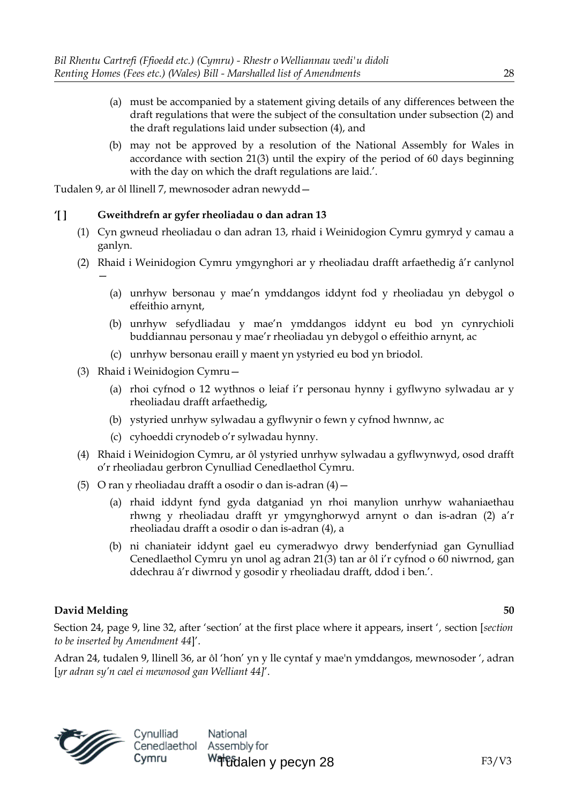- (a) must be accompanied by a statement giving details of any differences between the draft regulations that were the subject of the consultation under subsection (2) and the draft regulations laid under subsection (4), and
- (b) may not be approved by a resolution of the National Assembly for Wales in accordance with section 21(3) until the expiry of the period of 60 days beginning with the day on which the draft regulations are laid.'.

Tudalen 9, ar ôl llinell 7, mewnosoder adran newydd—

#### **'[ ] Gweithdrefn ar gyfer rheoliadau o dan adran 13**

- (1) Cyn gwneud rheoliadau o dan adran 13, rhaid i Weinidogion Cymru gymryd y camau a ganlyn.
- (2) Rhaid i Weinidogion Cymru ymgynghori ar y rheoliadau drafft arfaethedig â'r canlynol
	- (a) unrhyw bersonau y mae'n ymddangos iddynt fod y rheoliadau yn debygol o effeithio arnynt,
	- (b) unrhyw sefydliadau y mae'n ymddangos iddynt eu bod yn cynrychioli buddiannau personau y mae'r rheoliadau yn debygol o effeithio arnynt, ac
	- (c) unrhyw bersonau eraill y maent yn ystyried eu bod yn briodol.
- (3) Rhaid i Weinidogion Cymru—

—

- (a) rhoi cyfnod o 12 wythnos o leiaf i'r personau hynny i gyflwyno sylwadau ar y rheoliadau drafft arfaethedig,
- (b) ystyried unrhyw sylwadau a gyflwynir o fewn y cyfnod hwnnw, ac
- (c) cyhoeddi crynodeb o'r sylwadau hynny.
- (4) Rhaid i Weinidogion Cymru, ar ôl ystyried unrhyw sylwadau a gyflwynwyd, osod drafft o'r rheoliadau gerbron Cynulliad Cenedlaethol Cymru.
- (5) O ran y rheoliadau drafft a osodir o dan is-adran  $(4)$  -
	- (a) rhaid iddynt fynd gyda datganiad yn rhoi manylion unrhyw wahaniaethau rhwng y rheoliadau drafft yr ymgynghorwyd arnynt o dan is-adran (2) a'r rheoliadau drafft a osodir o dan is-adran (4), a
	- (b) ni chaniateir iddynt gael eu cymeradwyo drwy benderfyniad gan Gynulliad Cenedlaethol Cymru yn unol ag adran 21(3) tan ar ôl i'r cyfnod o 60 niwrnod, gan ddechrau â'r diwrnod y gosodir y rheoliadau drafft, ddod i ben.'.

#### **David Melding 50**

Section 24, page 9, line 32, after 'section' at the first place where it appears, insert '*,* section [*section to be inserted by Amendment 44*]'.

Adran 24, tudalen 9, llinell 36, ar ôl 'hon' yn y lle cyntaf y mae'n ymddangos, mewnosoder ', adran [*yr adran sy'n cael ei mewnosod gan Welliant 44]*'.



National Assembly for Watchlen y pecyn 28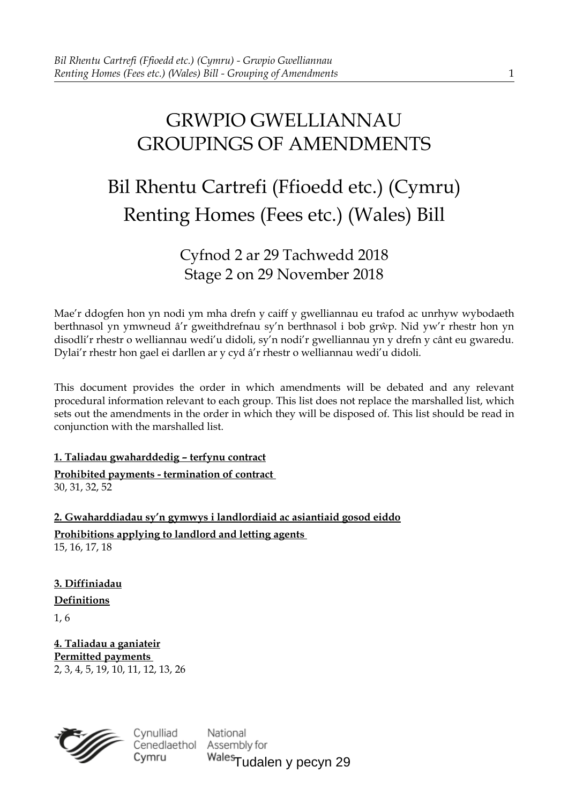## GRWPIO GWELLIANNAU GROUPINGS OF AMENDMENTS

## Bil Rhentu Cartrefi (Ffioedd etc.) (Cymru) Renting Homes (Fees etc.) (Wales) Bill

Cyfnod 2 ar 29 Tachwedd 2018 Stage 2 on 29 November 2018

Mae'r ddogfen hon yn nodi ym mha drefn y caiff y gwelliannau eu trafod ac unrhyw wybodaeth berthnasol yn ymwneud â'r gweithdrefnau sy'n berthnasol i bob grŵp. Nid yw'r rhestr hon yn disodli'r rhestr o welliannau wedi'u didoli, sy'n nodi'r gwelliannau yn y drefn y cânt eu gwaredu. Dylai'r rhestr hon gael ei darllen ar y cyd â'r rhestr o welliannau wedi'u didoli.

This document provides the order in which amendments will be debated and any relevant procedural information relevant to each group. This list does not replace the marshalled list, which sets out the amendments in the order in which they will be disposed of. This list should be read in conjunction with the marshalled list.

#### **1. Taliadau gwaharddedig – terfynu contract**

**Prohibited payments - termination of contract**  30, 31, 32, 52

**2. Gwaharddiadau sy'n gymwys i landlordiaid ac asiantiaid gosod eiddo Prohibitions applying to landlord and letting agents**  15, 16, 17, 18

**3. Diffiniadau**

**Definitions**

1, 6

**4. Taliadau a ganiateir Permitted payments**  2, 3, 4, 5, 19, 10, 11, 12, 13, 26



National Wales<sub>Tudalen y pecyn 29</sub>